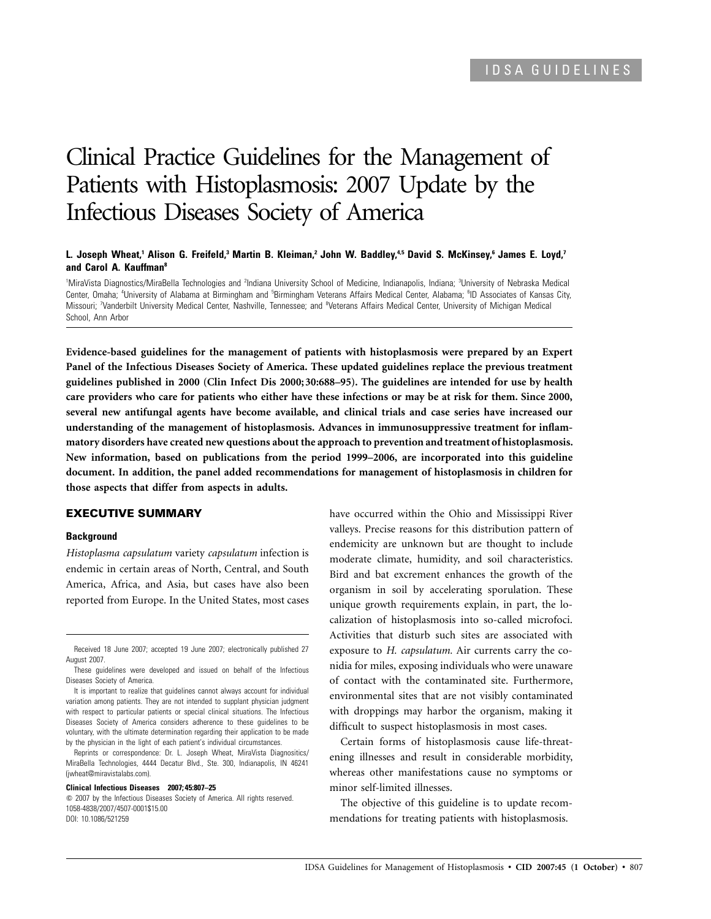# Clinical Practice Guidelines for the Management of Patients with Histoplasmosis: 2007 Update by the Infectious Diseases Society of America

## **L. Joseph Wheat,1 Alison G. Freifeld,3 Martin B. Kleiman,2 John W. Baddley,4,5 David S. McKinsey,6 James E. Loyd,7 and Carol A. Kauffman8**

<sup>1</sup>MiraVista Diagnostics/MiraBella Technologies and <sup>2</sup>Indiana University School of Medicine, Indianapolis, Indiana; <sup>3</sup>University of Nebraska Medical Center, Omaha; <sup>4</sup>University of Alabama at Birmingham and <sup>s</sup>Birmingham Veterans Affairs Medical Center, Alabama; <sup>6</sup>ID Associates of Kansas City, Missouri; <sup>7</sup>Vanderbilt University Medical Center, Nashville, Tennessee; and <sup>a</sup>Veterans Affairs Medical Center, University of Michigan Medical School, Ann Arbor

**Evidence-based guidelines for the management of patients with histoplasmosis were prepared by an Expert Panel of the Infectious Diseases Society of America. These updated guidelines replace the previous treatment guidelines published in 2000 (Clin Infect Dis 2000; 30:688–95). The guidelines are intended for use by health care providers who care for patients who either have these infections or may be at risk for them. Since 2000, several new antifungal agents have become available, and clinical trials and case series have increased our understanding of the management of histoplasmosis. Advances in immunosuppressive treatment for inflammatory disorders have created new questions about the approach to prevention and treatment of histoplasmosis. New information, based on publications from the period 1999–2006, are incorporated into this guideline document. In addition, the panel added recommendations for management of histoplasmosis in children for those aspects that differ from aspects in adults.**

#### **EXECUTIVE SUMMARY**

## **Background**

*Histoplasma capsulatum* variety *capsulatum* infection is endemic in certain areas of North, Central, and South America, Africa, and Asia, but cases have also been reported from Europe. In the United States, most cases

Reprints or correspondence: Dr. L. Joseph Wheat, MiraVista Diagnositics/ MiraBella Technologies, 4444 Decatur Blvd., Ste. 300, Indianapolis, IN 46241 (jwheat@miravistalabs.com).

#### **Clinical Infectious Diseases 2007; 45:807–25**

 $\odot$  2007 by the Infectious Diseases Society of America. All rights reserved. 1058-4838/2007/4507-0001\$15.00 DOI: 10.1086/521259

have occurred within the Ohio and Mississippi River valleys. Precise reasons for this distribution pattern of endemicity are unknown but are thought to include moderate climate, humidity, and soil characteristics. Bird and bat excrement enhances the growth of the organism in soil by accelerating sporulation. These unique growth requirements explain, in part, the localization of histoplasmosis into so-called microfoci. Activities that disturb such sites are associated with exposure to *H. capsulatum.* Air currents carry the conidia for miles, exposing individuals who were unaware of contact with the contaminated site. Furthermore, environmental sites that are not visibly contaminated with droppings may harbor the organism, making it difficult to suspect histoplasmosis in most cases.

Certain forms of histoplasmosis cause life-threatening illnesses and result in considerable morbidity, whereas other manifestations cause no symptoms or minor self-limited illnesses.

The objective of this guideline is to update recommendations for treating patients with histoplasmosis.

Received 18 June 2007; accepted 19 June 2007; electronically published 27 August 2007.

These guidelines were developed and issued on behalf of the Infectious Diseases Society of America.

It is important to realize that guidelines cannot always account for individual variation among patients. They are not intended to supplant physician judgment with respect to particular patients or special clinical situations. The Infectious Diseases Society of America considers adherence to these guidelines to be voluntary, with the ultimate determination regarding their application to be made by the physician in the light of each patient's individual circumstances.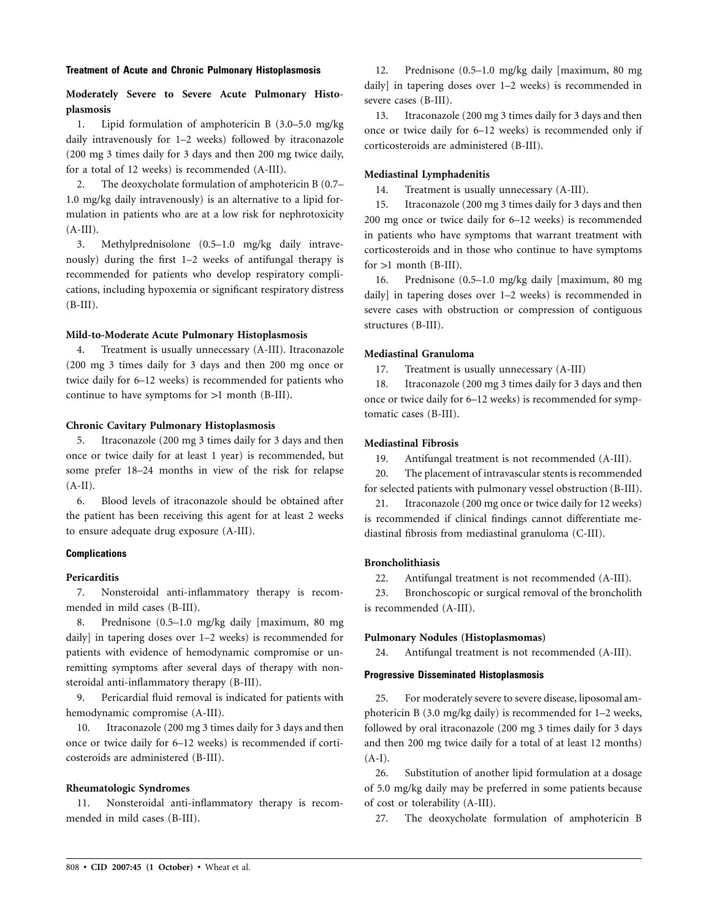#### **Treatment of Acute and Chronic Pulmonary Histoplasmosis**

# **Moderately Severe to Severe Acute Pulmonary Histoplasmosis**

1. Lipid formulation of amphotericin B (3.0–5.0 mg/kg daily intravenously for 1–2 weeks) followed by itraconazole (200 mg 3 times daily for 3 days and then 200 mg twice daily, for a total of 12 weeks) is recommended (A-III).

2. The deoxycholate formulation of amphotericin B (0.7– 1.0 mg/kg daily intravenously) is an alternative to a lipid formulation in patients who are at a low risk for nephrotoxicity  $(A-III).$ 

3. Methylprednisolone (0.5–1.0 mg/kg daily intravenously) during the first 1–2 weeks of antifungal therapy is recommended for patients who develop respiratory complications, including hypoxemia or significant respiratory distress  $(B-III).$ 

#### **Mild-to-Moderate Acute Pulmonary Histoplasmosis**

4. Treatment is usually unnecessary (A-III). Itraconazole (200 mg 3 times daily for 3 days and then 200 mg once or twice daily for 6–12 weeks) is recommended for patients who continue to have symptoms for  $>1$  month (B-III).

#### **Chronic Cavitary Pulmonary Histoplasmosis**

5. Itraconazole (200 mg 3 times daily for 3 days and then once or twice daily for at least 1 year) is recommended, but some prefer 18–24 months in view of the risk for relapse  $(A-II).$ 

6. Blood levels of itraconazole should be obtained after the patient has been receiving this agent for at least 2 weeks to ensure adequate drug exposure (A-III).

## **Complications**

#### **Pericarditis**

7. Nonsteroidal anti-inflammatory therapy is recommended in mild cases (B-III).

8. Prednisone (0.5–1.0 mg/kg daily [maximum, 80 mg daily] in tapering doses over 1–2 weeks) is recommended for patients with evidence of hemodynamic compromise or unremitting symptoms after several days of therapy with nonsteroidal anti-inflammatory therapy (B-III).

9. Pericardial fluid removal is indicated for patients with hemodynamic compromise (A-III).

10. Itraconazole (200 mg 3 times daily for 3 days and then once or twice daily for 6–12 weeks) is recommended if corticosteroids are administered (B-III).

#### **Rheumatologic Syndromes**

11. Nonsteroidal anti-inflammatory therapy is recommended in mild cases (B-III).

12. Prednisone (0.5–1.0 mg/kg daily [maximum, 80 mg daily] in tapering doses over 1–2 weeks) is recommended in severe cases (B-III).

13. Itraconazole (200 mg 3 times daily for 3 days and then once or twice daily for 6–12 weeks) is recommended only if corticosteroids are administered (B-III).

## **Mediastinal Lymphadenitis**

14. Treatment is usually unnecessary (A-III).

15. Itraconazole (200 mg 3 times daily for 3 days and then 200 mg once or twice daily for 6–12 weeks) is recommended in patients who have symptoms that warrant treatment with corticosteroids and in those who continue to have symptoms  $for >1$  month  $(B-III)$ .

16. Prednisone (0.5–1.0 mg/kg daily [maximum, 80 mg daily] in tapering doses over 1–2 weeks) is recommended in severe cases with obstruction or compression of contiguous structures (B-III).

## **Mediastinal Granuloma**

17. Treatment is usually unnecessary (A-III)

18. Itraconazole (200 mg 3 times daily for 3 days and then once or twice daily for 6–12 weeks) is recommended for symptomatic cases (B-III).

#### **Mediastinal Fibrosis**

19. Antifungal treatment is not recommended (A-III).

20. The placement of intravascular stents is recommended for selected patients with pulmonary vessel obstruction (B-III).

21. Itraconazole (200 mg once or twice daily for 12 weeks) is recommended if clinical findings cannot differentiate mediastinal fibrosis from mediastinal granuloma (C-III).

#### **Broncholithiasis**

22. Antifungal treatment is not recommended (A-III).

23. Bronchoscopic or surgical removal of the broncholith is recommended (A-III).

## **Pulmonary Nodules (Histoplasmomas)**

24. Antifungal treatment is not recommended (A-III).

## **Progressive Disseminated Histoplasmosis**

25. For moderately severe to severe disease, liposomal amphotericin B (3.0 mg/kg daily) is recommended for 1–2 weeks, followed by oral itraconazole (200 mg 3 times daily for 3 days and then 200 mg twice daily for a total of at least 12 months)  $(A-I).$ 

26. Substitution of another lipid formulation at a dosage of 5.0 mg/kg daily may be preferred in some patients because of cost or tolerability (A-III).

27. The deoxycholate formulation of amphotericin B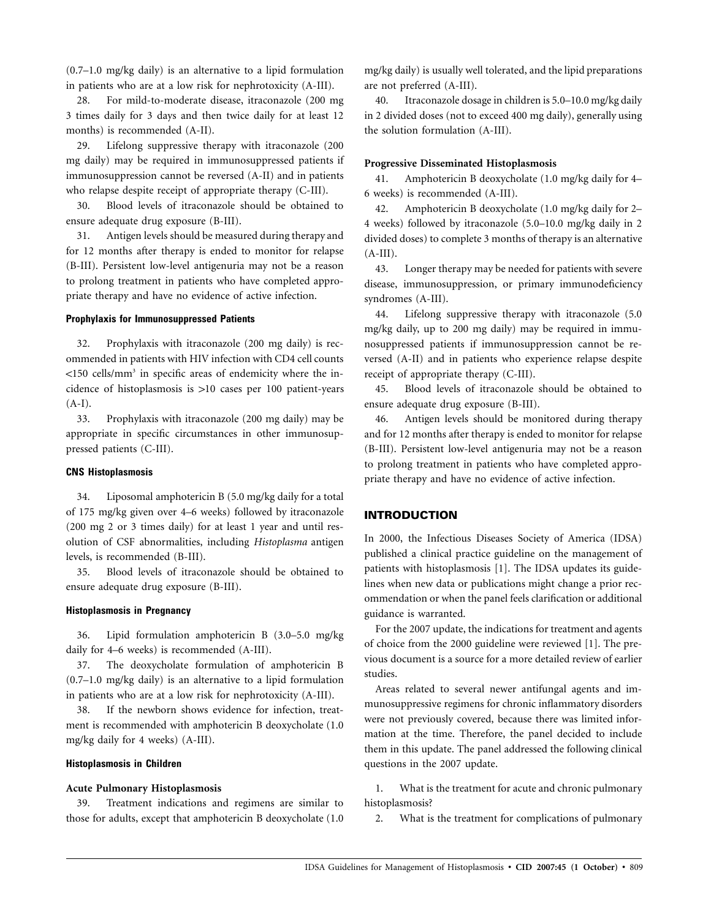(0.7–1.0 mg/kg daily) is an alternative to a lipid formulation in patients who are at a low risk for nephrotoxicity (A-III).

28. For mild-to-moderate disease, itraconazole (200 mg 3 times daily for 3 days and then twice daily for at least 12 months) is recommended (A-II).

29. Lifelong suppressive therapy with itraconazole (200 mg daily) may be required in immunosuppressed patients if immunosuppression cannot be reversed (A-II) and in patients who relapse despite receipt of appropriate therapy (C-III).

30. Blood levels of itraconazole should be obtained to ensure adequate drug exposure (B-III).

31. Antigen levels should be measured during therapy and for 12 months after therapy is ended to monitor for relapse (B-III). Persistent low-level antigenuria may not be a reason to prolong treatment in patients who have completed appropriate therapy and have no evidence of active infection.

## **Prophylaxis for Immunosuppressed Patients**

32. Prophylaxis with itraconazole (200 mg daily) is recommended in patients with HIV infection with CD4 cell counts  $\langle$ 150 cells/mm<sup>3</sup> in specific areas of endemicity where the incidence of histoplasmosis is  $>10$  cases per 100 patient-years  $(A-I).$ 

33. Prophylaxis with itraconazole (200 mg daily) may be appropriate in specific circumstances in other immunosuppressed patients (C-III).

## **CNS Histoplasmosis**

34. Liposomal amphotericin B (5.0 mg/kg daily for a total of 175 mg/kg given over 4–6 weeks) followed by itraconazole (200 mg 2 or 3 times daily) for at least 1 year and until resolution of CSF abnormalities, including *Histoplasma* antigen levels, is recommended (B-III).

35. Blood levels of itraconazole should be obtained to ensure adequate drug exposure (B-III).

## **Histoplasmosis in Pregnancy**

36. Lipid formulation amphotericin B (3.0–5.0 mg/kg daily for 4–6 weeks) is recommended (A-III).

37. The deoxycholate formulation of amphotericin B (0.7–1.0 mg/kg daily) is an alternative to a lipid formulation in patients who are at a low risk for nephrotoxicity (A-III).

38. If the newborn shows evidence for infection, treatment is recommended with amphotericin B deoxycholate (1.0 mg/kg daily for 4 weeks) (A-III).

## **Histoplasmosis in Children**

#### **Acute Pulmonary Histoplasmosis**

39. Treatment indications and regimens are similar to those for adults, except that amphotericin B deoxycholate (1.0 mg/kg daily) is usually well tolerated, and the lipid preparations are not preferred (A-III).

40. Itraconazole dosage in children is 5.0–10.0 mg/kg daily in 2 divided doses (not to exceed 400 mg daily), generally using the solution formulation (A-III).

#### **Progressive Disseminated Histoplasmosis**

41. Amphotericin B deoxycholate (1.0 mg/kg daily for 4– 6 weeks) is recommended (A-III).

42. Amphotericin B deoxycholate (1.0 mg/kg daily for 2– 4 weeks) followed by itraconazole (5.0–10.0 mg/kg daily in 2 divided doses) to complete 3 months of therapy is an alternative  $(A-III).$ 

43. Longer therapy may be needed for patients with severe disease, immunosuppression, or primary immunodeficiency syndromes (A-III).

44. Lifelong suppressive therapy with itraconazole (5.0 mg/kg daily, up to 200 mg daily) may be required in immunosuppressed patients if immunosuppression cannot be reversed (A-II) and in patients who experience relapse despite receipt of appropriate therapy (C-III).

45. Blood levels of itraconazole should be obtained to ensure adequate drug exposure (B-III).

46. Antigen levels should be monitored during therapy and for 12 months after therapy is ended to monitor for relapse (B-III). Persistent low-level antigenuria may not be a reason to prolong treatment in patients who have completed appropriate therapy and have no evidence of active infection.

#### **INTRODUCTION**

In 2000, the Infectious Diseases Society of America (IDSA) published a clinical practice guideline on the management of patients with histoplasmosis [1]. The IDSA updates its guidelines when new data or publications might change a prior recommendation or when the panel feels clarification or additional guidance is warranted.

For the 2007 update, the indications for treatment and agents of choice from the 2000 guideline were reviewed [1]. The previous document is a source for a more detailed review of earlier studies.

Areas related to several newer antifungal agents and immunosuppressive regimens for chronic inflammatory disorders were not previously covered, because there was limited information at the time. Therefore, the panel decided to include them in this update. The panel addressed the following clinical questions in the 2007 update.

1. What is the treatment for acute and chronic pulmonary histoplasmosis?

2. What is the treatment for complications of pulmonary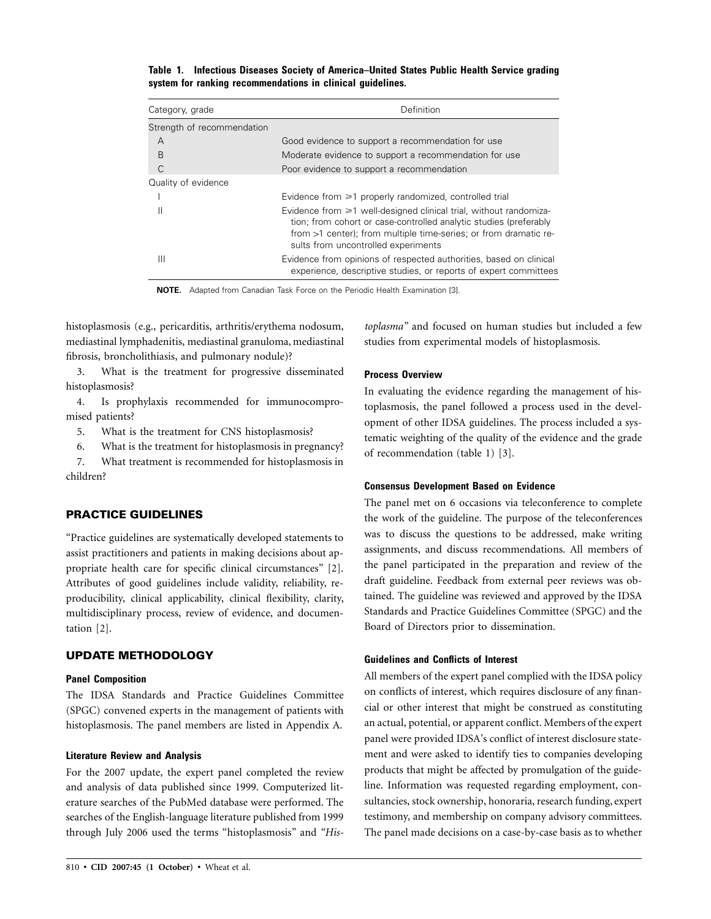**Table 1. Infectious Diseases Society of America–United States Public Health Service grading system for ranking recommendations in clinical guidelines.**

| Category, grade            | Definition                                                                                                                                                                                                                                              |  |  |
|----------------------------|---------------------------------------------------------------------------------------------------------------------------------------------------------------------------------------------------------------------------------------------------------|--|--|
| Strength of recommendation |                                                                                                                                                                                                                                                         |  |  |
| А                          | Good evidence to support a recommendation for use                                                                                                                                                                                                       |  |  |
| B                          | Moderate evidence to support a recommendation for use                                                                                                                                                                                                   |  |  |
| C                          | Poor evidence to support a recommendation                                                                                                                                                                                                               |  |  |
| Quality of evidence        |                                                                                                                                                                                                                                                         |  |  |
|                            | Evidence from $\geq 1$ properly randomized, controlled trial                                                                                                                                                                                            |  |  |
| Ш                          | Evidence from $\geq 1$ well-designed clinical trial, without randomiza-<br>tion; from cohort or case-controlled analytic studies (preferably<br>from >1 center); from multiple time-series; or from dramatic re-<br>sults from uncontrolled experiments |  |  |
| Ш                          | Evidence from opinions of respected authorities, based on clinical<br>experience, descriptive studies, or reports of expert committees                                                                                                                  |  |  |

**NOTE.** Adapted from Canadian Task Force on the Periodic Health Examination [3].

histoplasmosis (e.g., pericarditis, arthritis/erythema nodosum, mediastinal lymphadenitis, mediastinal granuloma, mediastinal fibrosis, broncholithiasis, and pulmonary nodule)?

3. What is the treatment for progressive disseminated histoplasmosis?

4. Is prophylaxis recommended for immunocompromised patients?

5. What is the treatment for CNS histoplasmosis?

6. What is the treatment for histoplasmosis in pregnancy?

7. What treatment is recommended for histoplasmosis in children?

## **PRACTICE GUIDELINES**

"Practice guidelines are systematically developed statements to assist practitioners and patients in making decisions about appropriate health care for specific clinical circumstances" [2]. Attributes of good guidelines include validity, reliability, reproducibility, clinical applicability, clinical flexibility, clarity, multidisciplinary process, review of evidence, and documentation [2].

#### **UPDATE METHODOLOGY**

## **Panel Composition**

The IDSA Standards and Practice Guidelines Committee (SPGC) convened experts in the management of patients with histoplasmosis. The panel members are listed in Appendix A.

#### **Literature Review and Analysis**

For the 2007 update, the expert panel completed the review and analysis of data published since 1999. Computerized literature searches of the PubMed database were performed. The searches of the English-language literature published from 1999 through July 2006 used the terms "histoplasmosis" and *"His-* *toplasma"* and focused on human studies but included a few studies from experimental models of histoplasmosis.

## **Process Overview**

In evaluating the evidence regarding the management of histoplasmosis, the panel followed a process used in the development of other IDSA guidelines. The process included a systematic weighting of the quality of the evidence and the grade of recommendation (table 1) [3].

#### **Consensus Development Based on Evidence**

The panel met on 6 occasions via teleconference to complete the work of the guideline. The purpose of the teleconferences was to discuss the questions to be addressed, make writing assignments, and discuss recommendations. All members of the panel participated in the preparation and review of the draft guideline. Feedback from external peer reviews was obtained. The guideline was reviewed and approved by the IDSA Standards and Practice Guidelines Committee (SPGC) and the Board of Directors prior to dissemination.

### **Guidelines and Conflicts of Interest**

All members of the expert panel complied with the IDSA policy on conflicts of interest, which requires disclosure of any financial or other interest that might be construed as constituting an actual, potential, or apparent conflict. Members of the expert panel were provided IDSA's conflict of interest disclosure statement and were asked to identify ties to companies developing products that might be affected by promulgation of the guideline. Information was requested regarding employment, consultancies, stock ownership, honoraria, research funding, expert testimony, and membership on company advisory committees. The panel made decisions on a case-by-case basis as to whether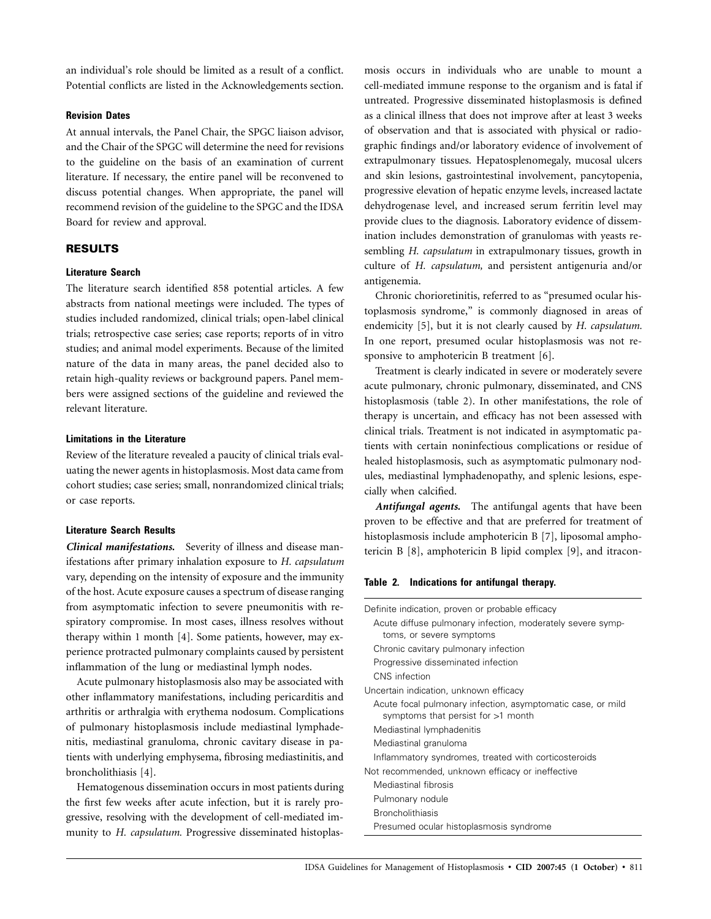an individual's role should be limited as a result of a conflict. Potential conflicts are listed in the Acknowledgements section.

## **Revision Dates**

At annual intervals, the Panel Chair, the SPGC liaison advisor, and the Chair of the SPGC will determine the need for revisions to the guideline on the basis of an examination of current literature. If necessary, the entire panel will be reconvened to discuss potential changes. When appropriate, the panel will recommend revision of the guideline to the SPGC and the IDSA Board for review and approval.

## **RESULTS**

#### **Literature Search**

The literature search identified 858 potential articles. A few abstracts from national meetings were included. The types of studies included randomized, clinical trials; open-label clinical trials; retrospective case series; case reports; reports of in vitro studies; and animal model experiments. Because of the limited nature of the data in many areas, the panel decided also to retain high-quality reviews or background papers. Panel members were assigned sections of the guideline and reviewed the relevant literature.

## **Limitations in the Literature**

Review of the literature revealed a paucity of clinical trials evaluating the newer agents in histoplasmosis. Most data came from cohort studies; case series; small, nonrandomized clinical trials; or case reports.

## **Literature Search Results**

*Clinical manifestations.* Severity of illness and disease manifestations after primary inhalation exposure to *H. capsulatum* vary, depending on the intensity of exposure and the immunity of the host. Acute exposure causes a spectrum of disease ranging from asymptomatic infection to severe pneumonitis with respiratory compromise. In most cases, illness resolves without therapy within 1 month [4]. Some patients, however, may experience protracted pulmonary complaints caused by persistent inflammation of the lung or mediastinal lymph nodes.

Acute pulmonary histoplasmosis also may be associated with other inflammatory manifestations, including pericarditis and arthritis or arthralgia with erythema nodosum. Complications of pulmonary histoplasmosis include mediastinal lymphadenitis, mediastinal granuloma, chronic cavitary disease in patients with underlying emphysema, fibrosing mediastinitis, and broncholithiasis [4].

Hematogenous dissemination occurs in most patients during the first few weeks after acute infection, but it is rarely progressive, resolving with the development of cell-mediated immunity to *H. capsulatum.* Progressive disseminated histoplasmosis occurs in individuals who are unable to mount a cell-mediated immune response to the organism and is fatal if untreated. Progressive disseminated histoplasmosis is defined as a clinical illness that does not improve after at least 3 weeks of observation and that is associated with physical or radiographic findings and/or laboratory evidence of involvement of extrapulmonary tissues. Hepatosplenomegaly, mucosal ulcers and skin lesions, gastrointestinal involvement, pancytopenia, progressive elevation of hepatic enzyme levels, increased lactate dehydrogenase level, and increased serum ferritin level may provide clues to the diagnosis. Laboratory evidence of dissemination includes demonstration of granulomas with yeasts resembling *H. capsulatum* in extrapulmonary tissues, growth in culture of *H. capsulatum,* and persistent antigenuria and/or antigenemia.

Chronic chorioretinitis, referred to as "presumed ocular histoplasmosis syndrome," is commonly diagnosed in areas of endemicity [5], but it is not clearly caused by *H. capsulatum.* In one report, presumed ocular histoplasmosis was not responsive to amphotericin B treatment [6].

Treatment is clearly indicated in severe or moderately severe acute pulmonary, chronic pulmonary, disseminated, and CNS histoplasmosis (table 2). In other manifestations, the role of therapy is uncertain, and efficacy has not been assessed with clinical trials. Treatment is not indicated in asymptomatic patients with certain noninfectious complications or residue of healed histoplasmosis, such as asymptomatic pulmonary nodules, mediastinal lymphadenopathy, and splenic lesions, especially when calcified.

*Antifungal agents.* The antifungal agents that have been proven to be effective and that are preferred for treatment of histoplasmosis include amphotericin B [7], liposomal amphotericin B [8], amphotericin B lipid complex [9], and itracon-

#### **Table 2. Indications for antifungal therapy.**

| Definite indication, proven or probable efficacy                                                    |  |  |  |  |
|-----------------------------------------------------------------------------------------------------|--|--|--|--|
| Acute diffuse pulmonary infection, moderately severe symp-<br>toms, or severe symptoms              |  |  |  |  |
| Chronic cavitary pulmonary infection                                                                |  |  |  |  |
| Progressive disseminated infection                                                                  |  |  |  |  |
| CNS infection                                                                                       |  |  |  |  |
| Uncertain indication, unknown efficacy                                                              |  |  |  |  |
| Acute focal pulmonary infection, asymptomatic case, or mild<br>symptoms that persist for $>1$ month |  |  |  |  |
| Mediastinal lymphadenitis                                                                           |  |  |  |  |
| Mediastinal granuloma                                                                               |  |  |  |  |
| Inflammatory syndromes, treated with corticosteroids                                                |  |  |  |  |
| Not recommended, unknown efficacy or ineffective                                                    |  |  |  |  |
| Mediastinal fibrosis                                                                                |  |  |  |  |
| Pulmonary nodule                                                                                    |  |  |  |  |
| <b>Broncholithiasis</b>                                                                             |  |  |  |  |
| Presumed ocular histoplasmosis syndrome                                                             |  |  |  |  |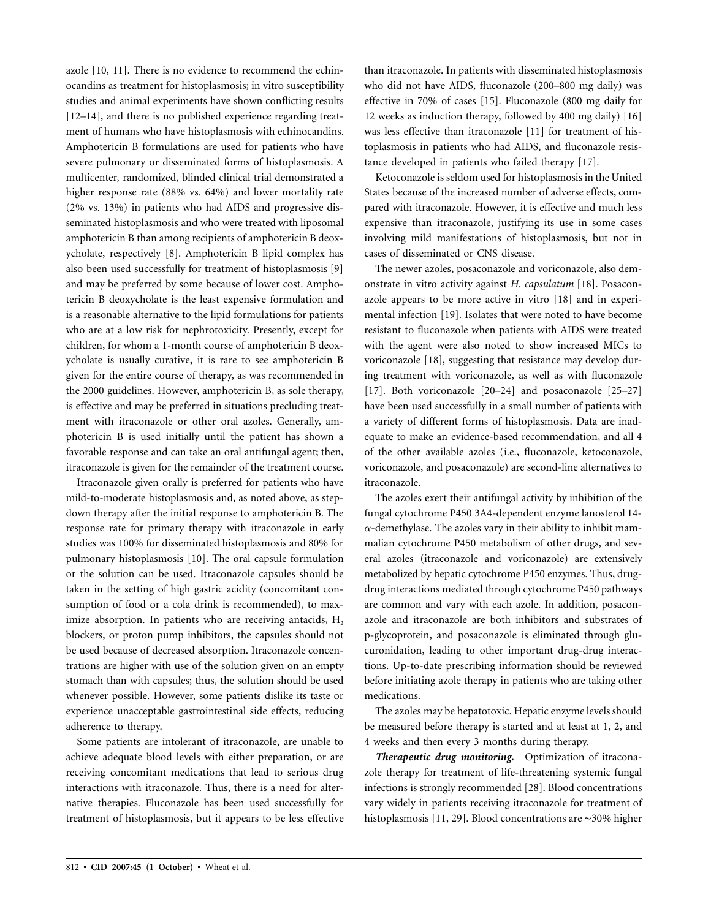azole [10, 11]. There is no evidence to recommend the echinocandins as treatment for histoplasmosis; in vitro susceptibility studies and animal experiments have shown conflicting results [12–14], and there is no published experience regarding treatment of humans who have histoplasmosis with echinocandins. Amphotericin B formulations are used for patients who have severe pulmonary or disseminated forms of histoplasmosis. A multicenter, randomized, blinded clinical trial demonstrated a higher response rate (88% vs. 64%) and lower mortality rate (2% vs. 13%) in patients who had AIDS and progressive disseminated histoplasmosis and who were treated with liposomal amphotericin B than among recipients of amphotericin B deoxycholate, respectively [8]. Amphotericin B lipid complex has also been used successfully for treatment of histoplasmosis [9] and may be preferred by some because of lower cost. Amphotericin B deoxycholate is the least expensive formulation and is a reasonable alternative to the lipid formulations for patients who are at a low risk for nephrotoxicity. Presently, except for children, for whom a 1-month course of amphotericin B deoxycholate is usually curative, it is rare to see amphotericin B given for the entire course of therapy, as was recommended in the 2000 guidelines. However, amphotericin B, as sole therapy, is effective and may be preferred in situations precluding treatment with itraconazole or other oral azoles. Generally, amphotericin B is used initially until the patient has shown a favorable response and can take an oral antifungal agent; then, itraconazole is given for the remainder of the treatment course.

Itraconazole given orally is preferred for patients who have mild-to-moderate histoplasmosis and, as noted above, as stepdown therapy after the initial response to amphotericin B. The response rate for primary therapy with itraconazole in early studies was 100% for disseminated histoplasmosis and 80% for pulmonary histoplasmosis [10]. The oral capsule formulation or the solution can be used. Itraconazole capsules should be taken in the setting of high gastric acidity (concomitant consumption of food or a cola drink is recommended), to maximize absorption. In patients who are receiving antacids,  $H_2$ blockers, or proton pump inhibitors, the capsules should not be used because of decreased absorption. Itraconazole concentrations are higher with use of the solution given on an empty stomach than with capsules; thus, the solution should be used whenever possible. However, some patients dislike its taste or experience unacceptable gastrointestinal side effects, reducing adherence to therapy.

Some patients are intolerant of itraconazole, are unable to achieve adequate blood levels with either preparation, or are receiving concomitant medications that lead to serious drug interactions with itraconazole. Thus, there is a need for alternative therapies. Fluconazole has been used successfully for treatment of histoplasmosis, but it appears to be less effective

than itraconazole. In patients with disseminated histoplasmosis who did not have AIDS, fluconazole (200–800 mg daily) was effective in 70% of cases [15]. Fluconazole (800 mg daily for 12 weeks as induction therapy, followed by 400 mg daily) [16] was less effective than itraconazole [11] for treatment of histoplasmosis in patients who had AIDS, and fluconazole resistance developed in patients who failed therapy [17].

Ketoconazole is seldom used for histoplasmosis in the United States because of the increased number of adverse effects, compared with itraconazole. However, it is effective and much less expensive than itraconazole, justifying its use in some cases involving mild manifestations of histoplasmosis, but not in cases of disseminated or CNS disease.

The newer azoles, posaconazole and voriconazole, also demonstrate in vitro activity against *H. capsulatum* [18]. Posaconazole appears to be more active in vitro [18] and in experimental infection [19]. Isolates that were noted to have become resistant to fluconazole when patients with AIDS were treated with the agent were also noted to show increased MICs to voriconazole [18], suggesting that resistance may develop during treatment with voriconazole, as well as with fluconazole [17]. Both voriconazole [20–24] and posaconazole [25–27] have been used successfully in a small number of patients with a variety of different forms of histoplasmosis. Data are inadequate to make an evidence-based recommendation, and all 4 of the other available azoles (i.e., fluconazole, ketoconazole, voriconazole, and posaconazole) are second-line alternatives to itraconazole.

The azoles exert their antifungal activity by inhibition of the fungal cytochrome P450 3A4-dependent enzyme lanosterol 14-  $\alpha$ -demethylase. The azoles vary in their ability to inhibit mammalian cytochrome P450 metabolism of other drugs, and several azoles (itraconazole and voriconazole) are extensively metabolized by hepatic cytochrome P450 enzymes. Thus, drugdrug interactions mediated through cytochrome P450 pathways are common and vary with each azole. In addition, posaconazole and itraconazole are both inhibitors and substrates of p-glycoprotein, and posaconazole is eliminated through glucuronidation, leading to other important drug-drug interactions. Up-to-date prescribing information should be reviewed before initiating azole therapy in patients who are taking other medications.

The azoles may be hepatotoxic. Hepatic enzyme levels should be measured before therapy is started and at least at 1, 2, and 4 weeks and then every 3 months during therapy.

*Therapeutic drug monitoring.* Optimization of itraconazole therapy for treatment of life-threatening systemic fungal infections is strongly recommended [28]. Blood concentrations vary widely in patients receiving itraconazole for treatment of histoplasmosis [11, 29]. Blood concentrations are ∼30% higher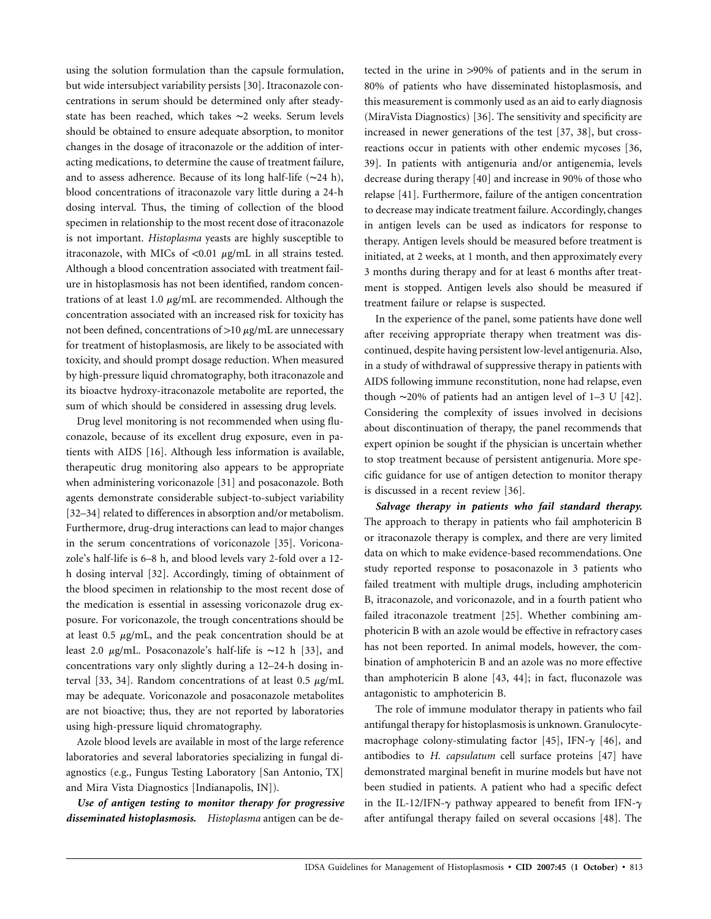using the solution formulation than the capsule formulation, but wide intersubject variability persists [30]. Itraconazole concentrations in serum should be determined only after steadystate has been reached, which takes ∼2 weeks. Serum levels should be obtained to ensure adequate absorption, to monitor changes in the dosage of itraconazole or the addition of interacting medications, to determine the cause of treatment failure, and to assess adherence. Because of its long half-life (∼24 h), blood concentrations of itraconazole vary little during a 24-h dosing interval. Thus, the timing of collection of the blood specimen in relationship to the most recent dose of itraconazole is not important. *Histoplasma* yeasts are highly susceptible to itraconazole, with MICs of  $\langle 0.01 \mu g/mL$  in all strains tested. Although a blood concentration associated with treatment failure in histoplasmosis has not been identified, random concentrations of at least 1.0  $\mu$ g/mL are recommended. Although the concentration associated with an increased risk for toxicity has not been defined, concentrations of  $>10 \mu$ g/mL are unnecessary for treatment of histoplasmosis, are likely to be associated with toxicity, and should prompt dosage reduction. When measured by high-pressure liquid chromatography, both itraconazole and its bioactve hydroxy-itraconazole metabolite are reported, the sum of which should be considered in assessing drug levels.

Drug level monitoring is not recommended when using fluconazole, because of its excellent drug exposure, even in patients with AIDS [16]. Although less information is available, therapeutic drug monitoring also appears to be appropriate when administering voriconazole [31] and posaconazole. Both agents demonstrate considerable subject-to-subject variability [32–34] related to differences in absorption and/or metabolism. Furthermore, drug-drug interactions can lead to major changes in the serum concentrations of voriconazole [35]. Voriconazole's half-life is 6–8 h, and blood levels vary 2-fold over a 12 h dosing interval [32]. Accordingly, timing of obtainment of the blood specimen in relationship to the most recent dose of the medication is essential in assessing voriconazole drug exposure. For voriconazole, the trough concentrations should be at least  $0.5 \mu g/mL$ , and the peak concentration should be at least 2.0 mg/mL. Posaconazole's half-life is ∼12 h [33], and concentrations vary only slightly during a 12–24-h dosing interval [33, 34]. Random concentrations of at least 0.5  $\mu$ g/mL may be adequate. Voriconazole and posaconazole metabolites are not bioactive; thus, they are not reported by laboratories using high-pressure liquid chromatography.

Azole blood levels are available in most of the large reference laboratories and several laboratories specializing in fungal diagnostics (e.g., Fungus Testing Laboratory [San Antonio, TX] and Mira Vista Diagnostics [Indianapolis, IN]).

*Use of antigen testing to monitor therapy for progressive disseminated histoplasmosis. Histoplasma* antigen can be detected in the urine in >90% of patients and in the serum in 80% of patients who have disseminated histoplasmosis, and this measurement is commonly used as an aid to early diagnosis (MiraVista Diagnostics) [36]. The sensitivity and specificity are increased in newer generations of the test [37, 38], but crossreactions occur in patients with other endemic mycoses [36, 39]. In patients with antigenuria and/or antigenemia, levels decrease during therapy [40] and increase in 90% of those who relapse [41]. Furthermore, failure of the antigen concentration to decrease may indicate treatment failure. Accordingly, changes in antigen levels can be used as indicators for response to therapy. Antigen levels should be measured before treatment is initiated, at 2 weeks, at 1 month, and then approximately every 3 months during therapy and for at least 6 months after treatment is stopped. Antigen levels also should be measured if treatment failure or relapse is suspected.

In the experience of the panel, some patients have done well after receiving appropriate therapy when treatment was discontinued, despite having persistent low-level antigenuria. Also, in a study of withdrawal of suppressive therapy in patients with AIDS following immune reconstitution, none had relapse, even though ∼20% of patients had an antigen level of 1–3 U [42]. Considering the complexity of issues involved in decisions about discontinuation of therapy, the panel recommends that expert opinion be sought if the physician is uncertain whether to stop treatment because of persistent antigenuria. More specific guidance for use of antigen detection to monitor therapy is discussed in a recent review [36].

*Salvage therapy in patients who fail standard therapy.* The approach to therapy in patients who fail amphotericin B or itraconazole therapy is complex, and there are very limited data on which to make evidence-based recommendations. One study reported response to posaconazole in 3 patients who failed treatment with multiple drugs, including amphotericin B, itraconazole, and voriconazole, and in a fourth patient who failed itraconazole treatment [25]. Whether combining amphotericin B with an azole would be effective in refractory cases has not been reported. In animal models, however, the combination of amphotericin B and an azole was no more effective than amphotericin B alone [43, 44]; in fact, fluconazole was antagonistic to amphotericin B.

The role of immune modulator therapy in patients who fail antifungal therapy for histoplasmosis is unknown. Granulocytemacrophage colony-stimulating factor [45], IFN- $\gamma$  [46], and antibodies to *H. capsulatum* cell surface proteins [47] have demonstrated marginal benefit in murine models but have not been studied in patients. A patient who had a specific defect in the IL-12/IFN- $\gamma$  pathway appeared to benefit from IFN- $\gamma$ after antifungal therapy failed on several occasions [48]. The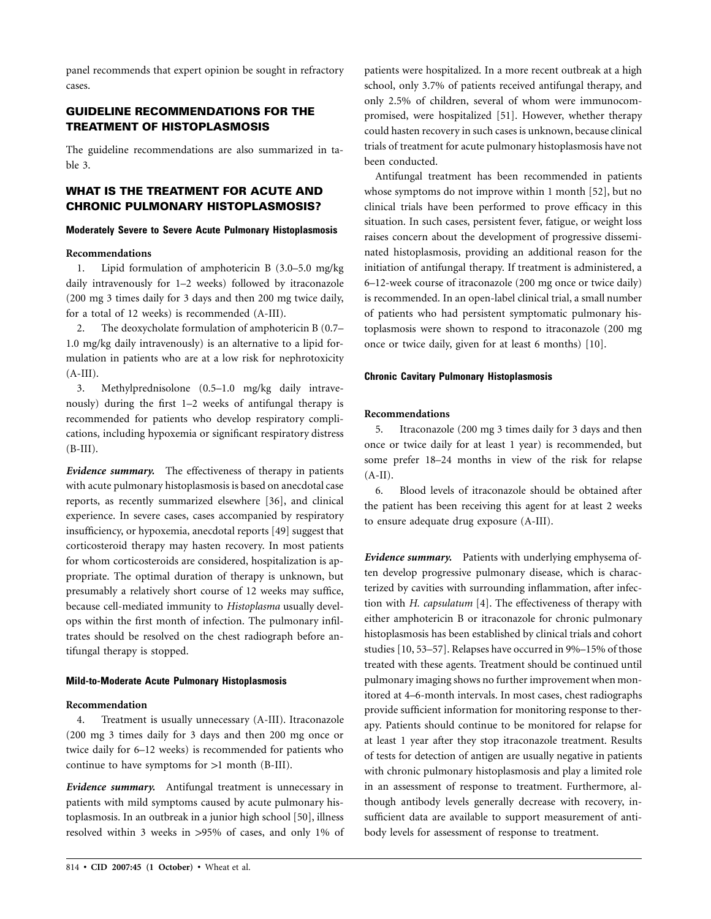panel recommends that expert opinion be sought in refractory cases.

# **GUIDELINE RECOMMENDATIONS FOR THE TREATMENT OF HISTOPLASMOSIS**

The guideline recommendations are also summarized in table 3.

# **WHAT IS THE TREATMENT FOR ACUTE AND CHRONIC PULMONARY HISTOPLASMOSIS?**

## **Moderately Severe to Severe Acute Pulmonary Histoplasmosis**

## **Recommendations**

1. Lipid formulation of amphotericin B (3.0–5.0 mg/kg daily intravenously for 1–2 weeks) followed by itraconazole (200 mg 3 times daily for 3 days and then 200 mg twice daily, for a total of 12 weeks) is recommended (A-III).

2. The deoxycholate formulation of amphotericin B (0.7– 1.0 mg/kg daily intravenously) is an alternative to a lipid formulation in patients who are at a low risk for nephrotoxicity  $(A-III).$ 

3. Methylprednisolone (0.5–1.0 mg/kg daily intravenously) during the first 1–2 weeks of antifungal therapy is recommended for patients who develop respiratory complications, including hypoxemia or significant respiratory distress (B-III).

*Evidence summary.* The effectiveness of therapy in patients with acute pulmonary histoplasmosis is based on anecdotal case reports, as recently summarized elsewhere [36], and clinical experience. In severe cases, cases accompanied by respiratory insufficiency, or hypoxemia, anecdotal reports [49] suggest that corticosteroid therapy may hasten recovery. In most patients for whom corticosteroids are considered, hospitalization is appropriate. The optimal duration of therapy is unknown, but presumably a relatively short course of 12 weeks may suffice, because cell-mediated immunity to *Histoplasma* usually develops within the first month of infection. The pulmonary infiltrates should be resolved on the chest radiograph before antifungal therapy is stopped.

## **Mild-to-Moderate Acute Pulmonary Histoplasmosis**

#### **Recommendation**

4. Treatment is usually unnecessary (A-III). Itraconazole (200 mg 3 times daily for 3 days and then 200 mg once or twice daily for 6–12 weeks) is recommended for patients who continue to have symptoms for  $>1$  month (B-III).

*Evidence summary.* Antifungal treatment is unnecessary in patients with mild symptoms caused by acute pulmonary histoplasmosis. In an outbreak in a junior high school [50], illness resolved within 3 weeks in >95% of cases, and only 1% of patients were hospitalized. In a more recent outbreak at a high school, only 3.7% of patients received antifungal therapy, and only 2.5% of children, several of whom were immunocompromised, were hospitalized [51]. However, whether therapy could hasten recovery in such cases is unknown, because clinical trials of treatment for acute pulmonary histoplasmosis have not been conducted.

Antifungal treatment has been recommended in patients whose symptoms do not improve within 1 month [52], but no clinical trials have been performed to prove efficacy in this situation. In such cases, persistent fever, fatigue, or weight loss raises concern about the development of progressive disseminated histoplasmosis, providing an additional reason for the initiation of antifungal therapy. If treatment is administered, a 6–12-week course of itraconazole (200 mg once or twice daily) is recommended. In an open-label clinical trial, a small number of patients who had persistent symptomatic pulmonary histoplasmosis were shown to respond to itraconazole (200 mg once or twice daily, given for at least 6 months) [10].

## **Chronic Cavitary Pulmonary Histoplasmosis**

## **Recommendations**

5. Itraconazole (200 mg 3 times daily for 3 days and then once or twice daily for at least 1 year) is recommended, but some prefer 18–24 months in view of the risk for relapse  $(A-II).$ 

6. Blood levels of itraconazole should be obtained after the patient has been receiving this agent for at least 2 weeks to ensure adequate drug exposure (A-III).

*Evidence summary.* Patients with underlying emphysema often develop progressive pulmonary disease, which is characterized by cavities with surrounding inflammation, after infection with *H. capsulatum* [4]. The effectiveness of therapy with either amphotericin B or itraconazole for chronic pulmonary histoplasmosis has been established by clinical trials and cohort studies [10, 53–57]. Relapses have occurred in 9%–15% of those treated with these agents. Treatment should be continued until pulmonary imaging shows no further improvement when monitored at 4–6-month intervals. In most cases, chest radiographs provide sufficient information for monitoring response to therapy. Patients should continue to be monitored for relapse for at least 1 year after they stop itraconazole treatment. Results of tests for detection of antigen are usually negative in patients with chronic pulmonary histoplasmosis and play a limited role in an assessment of response to treatment. Furthermore, although antibody levels generally decrease with recovery, insufficient data are available to support measurement of antibody levels for assessment of response to treatment.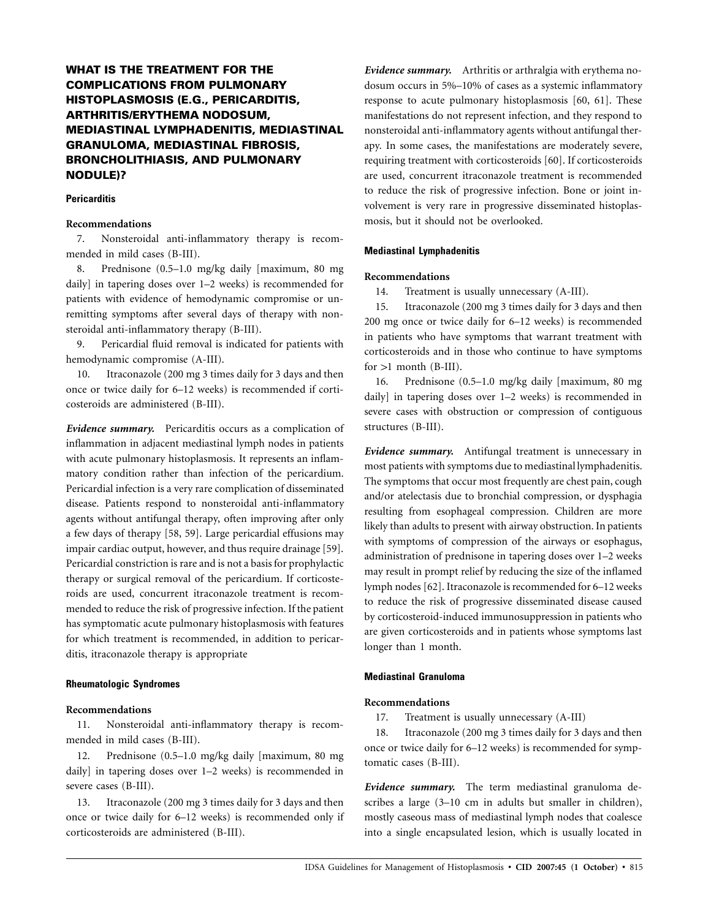# **WHAT IS THE TREATMENT FOR THE COMPLICATIONS FROM PULMONARY HISTOPLASMOSIS (E.G., PERICARDITIS, ARTHRITIS/ERYTHEMA NODOSUM, MEDIASTINAL LYMPHADENITIS, MEDIASTINAL GRANULOMA, MEDIASTINAL FIBROSIS, BRONCHOLITHIASIS, AND PULMONARY NODULE)?**

## **Pericarditis**

## **Recommendations**

7. Nonsteroidal anti-inflammatory therapy is recommended in mild cases (B-III).

8. Prednisone (0.5–1.0 mg/kg daily [maximum, 80 mg daily] in tapering doses over 1–2 weeks) is recommended for patients with evidence of hemodynamic compromise or unremitting symptoms after several days of therapy with nonsteroidal anti-inflammatory therapy (B-III).

9. Pericardial fluid removal is indicated for patients with hemodynamic compromise (A-III).

10. Itraconazole (200 mg 3 times daily for 3 days and then once or twice daily for 6–12 weeks) is recommended if corticosteroids are administered (B-III).

*Evidence summary.* Pericarditis occurs as a complication of inflammation in adjacent mediastinal lymph nodes in patients with acute pulmonary histoplasmosis. It represents an inflammatory condition rather than infection of the pericardium. Pericardial infection is a very rare complication of disseminated disease. Patients respond to nonsteroidal anti-inflammatory agents without antifungal therapy, often improving after only a few days of therapy [58, 59]. Large pericardial effusions may impair cardiac output, however, and thus require drainage [59]. Pericardial constriction is rare and is not a basis for prophylactic therapy or surgical removal of the pericardium. If corticosteroids are used, concurrent itraconazole treatment is recommended to reduce the risk of progressive infection. If the patient has symptomatic acute pulmonary histoplasmosis with features for which treatment is recommended, in addition to pericarditis, itraconazole therapy is appropriate

#### **Rheumatologic Syndromes**

#### **Recommendations**

11. Nonsteroidal anti-inflammatory therapy is recommended in mild cases (B-III).

12. Prednisone (0.5–1.0 mg/kg daily [maximum, 80 mg daily] in tapering doses over 1–2 weeks) is recommended in severe cases (B-III).

13. Itraconazole (200 mg 3 times daily for 3 days and then once or twice daily for 6–12 weeks) is recommended only if corticosteroids are administered (B-III).

*Evidence summary.* Arthritis or arthralgia with erythema nodosum occurs in 5%–10% of cases as a systemic inflammatory response to acute pulmonary histoplasmosis [60, 61]. These manifestations do not represent infection, and they respond to nonsteroidal anti-inflammatory agents without antifungal therapy. In some cases, the manifestations are moderately severe, requiring treatment with corticosteroids [60]. If corticosteroids are used, concurrent itraconazole treatment is recommended to reduce the risk of progressive infection. Bone or joint involvement is very rare in progressive disseminated histoplasmosis, but it should not be overlooked.

## **Mediastinal Lymphadenitis**

## **Recommendations**

14. Treatment is usually unnecessary (A-III).

15. Itraconazole (200 mg 3 times daily for 3 days and then 200 mg once or twice daily for 6–12 weeks) is recommended in patients who have symptoms that warrant treatment with corticosteroids and in those who continue to have symptoms for  $>1$  month (B-III).

16. Prednisone (0.5–1.0 mg/kg daily [maximum, 80 mg daily] in tapering doses over 1–2 weeks) is recommended in severe cases with obstruction or compression of contiguous structures (B-III).

*Evidence summary.* Antifungal treatment is unnecessary in most patients with symptoms due to mediastinal lymphadenitis. The symptoms that occur most frequently are chest pain, cough and/or atelectasis due to bronchial compression, or dysphagia resulting from esophageal compression. Children are more likely than adults to present with airway obstruction. In patients with symptoms of compression of the airways or esophagus, administration of prednisone in tapering doses over 1–2 weeks may result in prompt relief by reducing the size of the inflamed lymph nodes [62]. Itraconazole is recommended for 6–12 weeks to reduce the risk of progressive disseminated disease caused by corticosteroid-induced immunosuppression in patients who are given corticosteroids and in patients whose symptoms last longer than 1 month.

#### **Mediastinal Granuloma**

#### **Recommendations**

17. Treatment is usually unnecessary (A-III)

18. Itraconazole (200 mg 3 times daily for 3 days and then once or twice daily for 6–12 weeks) is recommended for symptomatic cases (B-III).

*Evidence summary.* The term mediastinal granuloma describes a large (3–10 cm in adults but smaller in children), mostly caseous mass of mediastinal lymph nodes that coalesce into a single encapsulated lesion, which is usually located in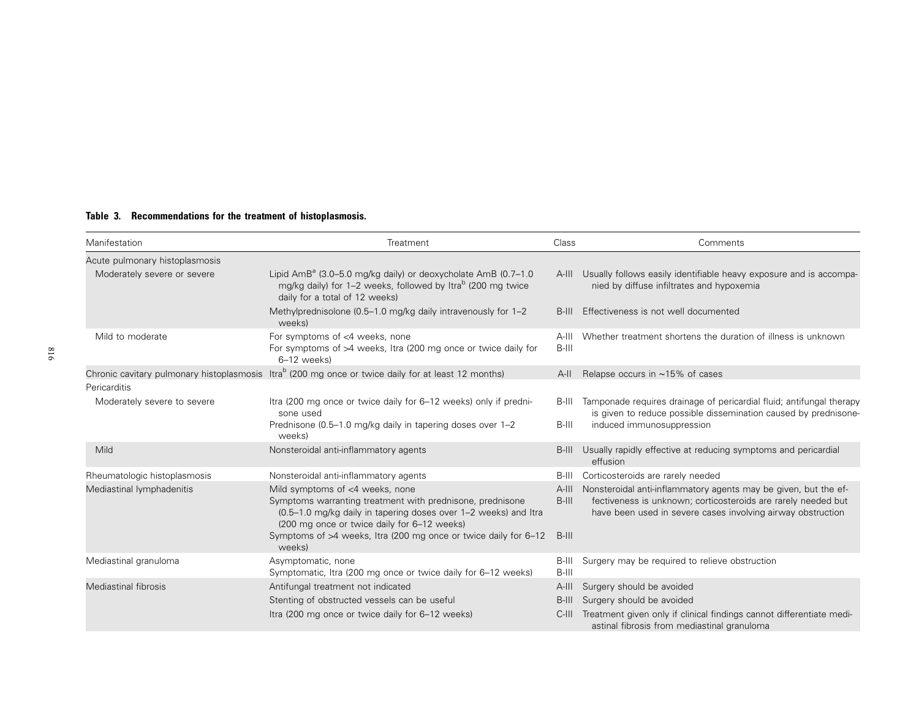| Table 3.<br>Recommendations for the treatment of histoplasmosis. |
|------------------------------------------------------------------|
|------------------------------------------------------------------|

| Manifestation                  | Treatment                                                                                                                                                                                                                                                                                   | Class                         | Comments                                                                                                                                                                                        |
|--------------------------------|---------------------------------------------------------------------------------------------------------------------------------------------------------------------------------------------------------------------------------------------------------------------------------------------|-------------------------------|-------------------------------------------------------------------------------------------------------------------------------------------------------------------------------------------------|
| Acute pulmonary histoplasmosis |                                                                                                                                                                                                                                                                                             |                               |                                                                                                                                                                                                 |
| Moderately severe or severe    | Lipid $AmB^a$ (3.0–5.0 mg/kg daily) or deoxycholate AmB (0.7–1.0<br>mg/kg daily) for 1–2 weeks, followed by Itra <sup>b</sup> (200 mg twice<br>daily for a total of 12 weeks)                                                                                                               |                               | A-III Usually follows easily identifiable heavy exposure and is accompa-<br>nied by diffuse infiltrates and hypoxemia                                                                           |
|                                | Methylprednisolone (0.5–1.0 mg/kg daily intravenously for 1–2<br>weeks)                                                                                                                                                                                                                     | $B-III$                       | Effectiveness is not well documented                                                                                                                                                            |
| Mild to moderate               | For symptoms of <4 weeks, none<br>For symptoms of $>4$ weeks, Itra (200 mg once or twice daily for<br>$6-12$ weeks)                                                                                                                                                                         | A-III<br>B-III                | Whether treatment shortens the duration of illness is unknown                                                                                                                                   |
|                                | Chronic cavitary pulmonary histoplasmosis Itra <sup>b</sup> (200 mg once or twice daily for at least 12 months)                                                                                                                                                                             | $A-H$                         | Relapse occurs in $~15\%$ of cases                                                                                                                                                              |
| Pericarditis                   |                                                                                                                                                                                                                                                                                             |                               |                                                                                                                                                                                                 |
| Moderately severe to severe    | Itra (200 mg once or twice daily for 6–12 weeks) only if predni-<br>sone used                                                                                                                                                                                                               | B-III                         | Tamponade requires drainage of pericardial fluid; antifungal therapy<br>is given to reduce possible dissemination caused by prednisone-                                                         |
|                                | Prednisone (0.5–1.0 mg/kg daily in tapering doses over 1–2<br>weeks)                                                                                                                                                                                                                        | B-III                         | induced immunosuppression                                                                                                                                                                       |
| Mild                           | Nonsteroidal anti-inflammatory agents                                                                                                                                                                                                                                                       | $B-III$                       | Usually rapidly effective at reducing symptoms and pericardial<br>effusion                                                                                                                      |
| Rheumatologic histoplasmosis   | Nonsteroidal anti-inflammatory agents                                                                                                                                                                                                                                                       | B-III                         | Corticosteroids are rarely needed                                                                                                                                                               |
| Mediastinal lymphadenitis      | Mild symptoms of <4 weeks, none<br>Symptoms warranting treatment with prednisone, prednisone<br>(0.5–1.0 mg/kg daily in tapering doses over 1–2 weeks) and Itra<br>(200 mg once or twice daily for 6-12 weeks)<br>Symptoms of >4 weeks, Itra (200 mg once or twice daily for 6-12<br>weeks) | $A-III$<br>$B-III$<br>$B-III$ | Nonsteroidal anti-inflammatory agents may be given, but the ef-<br>fectiveness is unknown; corticosteroids are rarely needed but<br>have been used in severe cases involving airway obstruction |
| Mediastinal granuloma          | Asymptomatic, none<br>Symptomatic, Itra (200 mg once or twice daily for 6–12 weeks)                                                                                                                                                                                                         | B-III<br>$B-III$              | Surgery may be required to relieve obstruction                                                                                                                                                  |
| Mediastinal fibrosis           | Antifungal treatment not indicated                                                                                                                                                                                                                                                          | $A$ -III                      | Surgery should be avoided                                                                                                                                                                       |
|                                | Stenting of obstructed vessels can be useful                                                                                                                                                                                                                                                | $B-III$                       | Surgery should be avoided                                                                                                                                                                       |
|                                | Itra (200 mg once or twice daily for 6–12 weeks)                                                                                                                                                                                                                                            | $C$ -III                      | Treatment given only if clinical findings cannot differentiate medi-<br>astinal fibrosis from mediastinal granuloma                                                                             |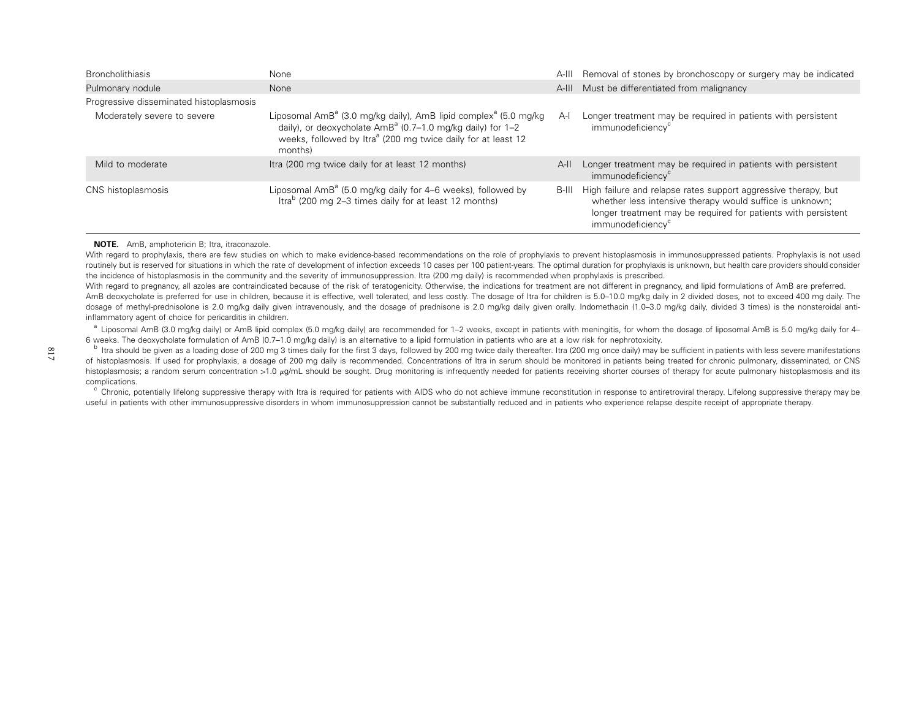| <b>Broncholithiasis</b>                 | None                                                                                                                                                                                                                                            |       | A-III Removal of stones by bronchoscopy or surgery may be indicated                                                                                                                                                          |
|-----------------------------------------|-------------------------------------------------------------------------------------------------------------------------------------------------------------------------------------------------------------------------------------------------|-------|------------------------------------------------------------------------------------------------------------------------------------------------------------------------------------------------------------------------------|
| Pulmonary nodule                        | None                                                                                                                                                                                                                                            |       | A-III Must be differentiated from malignancy                                                                                                                                                                                 |
| Progressive disseminated histoplasmosis |                                                                                                                                                                                                                                                 |       |                                                                                                                                                                                                                              |
| Moderately severe to severe             | Liposomal AmB <sup>a</sup> (3.0 mg/kg daily), AmB lipid complex <sup>a</sup> (5.0 mg/kg<br>daily), or deoxycholate $AmB^a$ (0.7–1.0 mg/kg daily) for 1–2<br>weeks, followed by Itra <sup>a</sup> (200 mg twice daily for at least 12<br>months) | $A-I$ | Longer treatment may be required in patients with persistent<br>immunodeficiency <sup>c</sup>                                                                                                                                |
| Mild to moderate                        | Itra (200 mg twice daily for at least 12 months)                                                                                                                                                                                                | $A-H$ | Longer treatment may be required in patients with persistent<br>immunodeficiency <sup>c</sup>                                                                                                                                |
| CNS histoplasmosis                      | Liposomal $Amb^a$ (5.0 mg/kg daily for 4–6 weeks), followed by<br>Itra <sup>b</sup> (200 mg 2-3 times daily for at least 12 months)                                                                                                             | B-III | High failure and relapse rates support aggressive therapy, but<br>whether less intensive therapy would suffice is unknown;<br>longer treatment may be required for patients with persistent<br>immunodeficiency <sup>c</sup> |

#### **NOTE.** AmB, amphotericin B; Itra, itraconazole.

With regard to prophylaxis, there are few studies on which to make evidence-based recommendations on the role of prophylaxis to prevent histoplasmosis in immunosuppressed patients. Prophylaxis is not used routinely but is reserved for situations in which the rate of development of infection exceeds 10 cases per 100 patient-years. The optimal duration for prophylaxis is unknown, but health care providers should consider the incidence of histoplasmosis in the community and the severity of immunosuppression. Itra (200 mg daily) is recommended when prophylaxis is prescribed.

With regard to pregnancy, all azoles are contraindicated because of the risk of teratogenicity. Otherwise, the indications for treatment are not different in pregnancy, and lipid formulations of AmB are preferred. AmB deoxycholate is preferred for use in children, because it is effective, well tolerated, and less costly. The dosage of Itra for children is 5.0–10.0 mg/kg daily in 2 divided doses, not to exceed 400 mg daily. The dosage of methyl-prednisolone is 2.0 mg/kg daily given intravenously, and the dosage of prednisone is 2.0 mg/kg daily given orally. Indomethacin (1.0–3.0 mg/kg daily, divided 3 times) is the nonsteroidal antiinflammatory agent of choice for pericarditis in children.

 $^a$  Liposomal AmB (3.0 mg/kg daily) or AmB lipid complex (5.0 mg/kg daily) are recommended for 1–2 weeks, except in patients with meningitis, for whom the dosage of liposomal AmB is 5.0 mg/kg daily for 4– 6 weeks. The deoxycholate formulation of AmB (0.7–1.0 mg/kg daily) is an alternative to <sup>a</sup> lipid formulation in patients who are at <sup>a</sup> low risk for nephrotoxicity.

<sup>b</sup> Itra should be given as a loading dose of 200 mg 3 times daily for the first 3 days, followed by 200 mg twice daily thereafter. Itra (200 mg once daily) may be sufficient in patients with less severe manifestations of histoplasmosis. If used for prophylaxis, <sup>a</sup> dosage of 200 mg daily is recommended. Concentrations of Itra in serum should be monitored in patients being treated for chronic pulmonary, disseminated, or CNS histoplasmosis; a random serum concentration >1.0 µg/mL should be sought. Drug monitoring is infrequently needed for patients receiving shorter courses of therapy for acute pulmonary histoplasmosis and its complications.

 $\textdegree$  Chronic, potentially lifelong suppressive therapy with Itra is required for patients with AIDS who do not achieve immune reconstitution in response to antiretroviral therapy. Lifelong suppressive therapy may be useful in patients with other immunosuppressive disorders in whom immunosuppression cannot be substantially reduced and in patients who experience relapse despite receipt of appropriate therapy.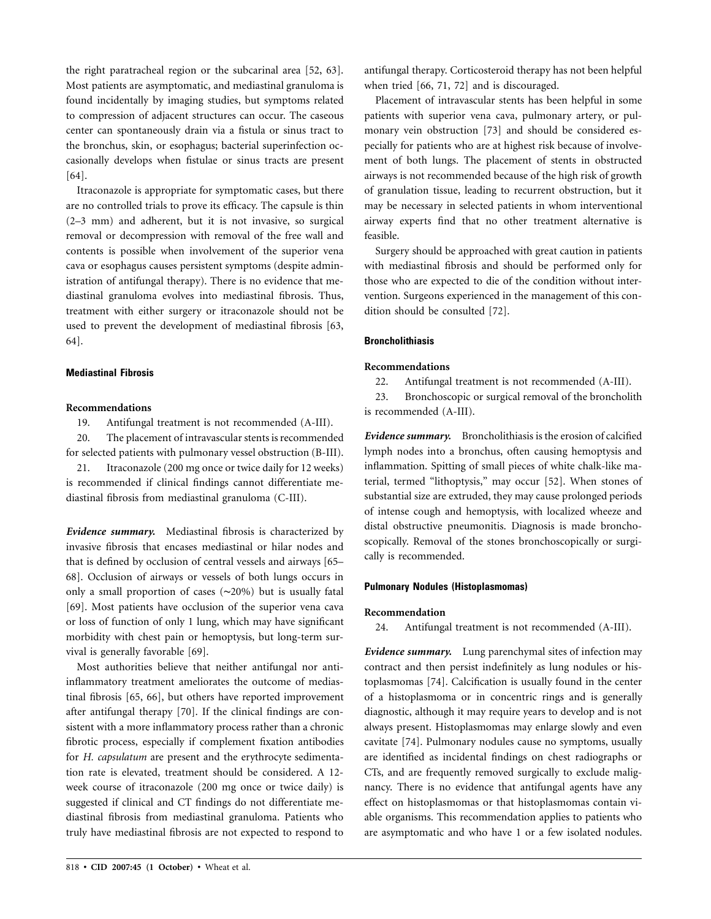the right paratracheal region or the subcarinal area [52, 63]. Most patients are asymptomatic, and mediastinal granuloma is found incidentally by imaging studies, but symptoms related to compression of adjacent structures can occur. The caseous center can spontaneously drain via a fistula or sinus tract to the bronchus, skin, or esophagus; bacterial superinfection occasionally develops when fistulae or sinus tracts are present [64].

Itraconazole is appropriate for symptomatic cases, but there are no controlled trials to prove its efficacy. The capsule is thin (2–3 mm) and adherent, but it is not invasive, so surgical removal or decompression with removal of the free wall and contents is possible when involvement of the superior vena cava or esophagus causes persistent symptoms (despite administration of antifungal therapy). There is no evidence that mediastinal granuloma evolves into mediastinal fibrosis. Thus, treatment with either surgery or itraconazole should not be used to prevent the development of mediastinal fibrosis [63, 64].

## **Mediastinal Fibrosis**

## **Recommendations**

19. Antifungal treatment is not recommended (A-III).

20. The placement of intravascular stents is recommended for selected patients with pulmonary vessel obstruction (B-III).

21. Itraconazole (200 mg once or twice daily for 12 weeks) is recommended if clinical findings cannot differentiate mediastinal fibrosis from mediastinal granuloma (C-III).

*Evidence summary.* Mediastinal fibrosis is characterized by invasive fibrosis that encases mediastinal or hilar nodes and that is defined by occlusion of central vessels and airways [65– 68]. Occlusion of airways or vessels of both lungs occurs in only a small proportion of cases (∼20%) but is usually fatal [69]. Most patients have occlusion of the superior vena cava or loss of function of only 1 lung, which may have significant morbidity with chest pain or hemoptysis, but long-term survival is generally favorable [69].

Most authorities believe that neither antifungal nor antiinflammatory treatment ameliorates the outcome of mediastinal fibrosis [65, 66], but others have reported improvement after antifungal therapy [70]. If the clinical findings are consistent with a more inflammatory process rather than a chronic fibrotic process, especially if complement fixation antibodies for *H. capsulatum* are present and the erythrocyte sedimentation rate is elevated, treatment should be considered. A 12 week course of itraconazole (200 mg once or twice daily) is suggested if clinical and CT findings do not differentiate mediastinal fibrosis from mediastinal granuloma. Patients who truly have mediastinal fibrosis are not expected to respond to

Placement of intravascular stents has been helpful in some patients with superior vena cava, pulmonary artery, or pulmonary vein obstruction [73] and should be considered especially for patients who are at highest risk because of involvement of both lungs. The placement of stents in obstructed airways is not recommended because of the high risk of growth of granulation tissue, leading to recurrent obstruction, but it may be necessary in selected patients in whom interventional airway experts find that no other treatment alternative is feasible.

Surgery should be approached with great caution in patients with mediastinal fibrosis and should be performed only for those who are expected to die of the condition without intervention. Surgeons experienced in the management of this condition should be consulted [72].

## **Broncholithiasis**

## **Recommendations**

22. Antifungal treatment is not recommended (A-III).

23. Bronchoscopic or surgical removal of the broncholith is recommended (A-III).

*Evidence summary.* Broncholithiasis is the erosion of calcified lymph nodes into a bronchus, often causing hemoptysis and inflammation. Spitting of small pieces of white chalk-like material, termed "lithoptysis," may occur [52]. When stones of substantial size are extruded, they may cause prolonged periods of intense cough and hemoptysis, with localized wheeze and distal obstructive pneumonitis. Diagnosis is made bronchoscopically. Removal of the stones bronchoscopically or surgically is recommended.

#### **Pulmonary Nodules (Histoplasmomas)**

#### **Recommendation**

24. Antifungal treatment is not recommended (A-III).

*Evidence summary.* Lung parenchymal sites of infection may contract and then persist indefinitely as lung nodules or histoplasmomas [74]. Calcification is usually found in the center of a histoplasmoma or in concentric rings and is generally diagnostic, although it may require years to develop and is not always present. Histoplasmomas may enlarge slowly and even cavitate [74]. Pulmonary nodules cause no symptoms, usually are identified as incidental findings on chest radiographs or CTs, and are frequently removed surgically to exclude malignancy. There is no evidence that antifungal agents have any effect on histoplasmomas or that histoplasmomas contain viable organisms. This recommendation applies to patients who are asymptomatic and who have 1 or a few isolated nodules.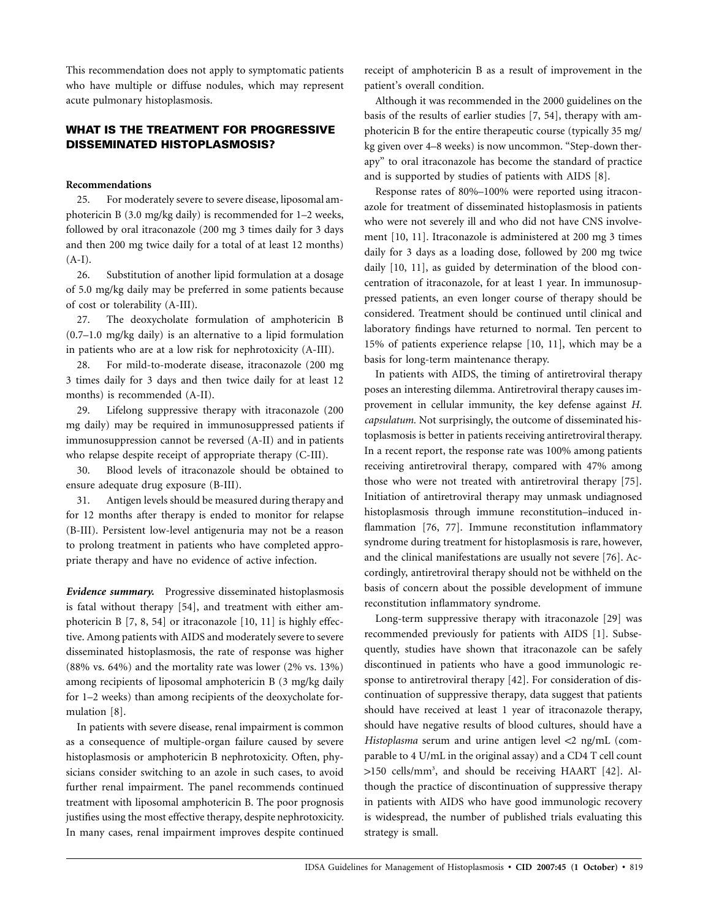This recommendation does not apply to symptomatic patients who have multiple or diffuse nodules, which may represent acute pulmonary histoplasmosis.

# **WHAT IS THE TREATMENT FOR PROGRESSIVE DISSEMINATED HISTOPLASMOSIS?**

## **Recommendations**

25. For moderately severe to severe disease, liposomal amphotericin B (3.0 mg/kg daily) is recommended for 1–2 weeks, followed by oral itraconazole (200 mg 3 times daily for 3 days and then 200 mg twice daily for a total of at least 12 months) (A-I).

26. Substitution of another lipid formulation at a dosage of 5.0 mg/kg daily may be preferred in some patients because of cost or tolerability (A-III).

27. The deoxycholate formulation of amphotericin B (0.7–1.0 mg/kg daily) is an alternative to a lipid formulation in patients who are at a low risk for nephrotoxicity (A-III).

28. For mild-to-moderate disease, itraconazole (200 mg 3 times daily for 3 days and then twice daily for at least 12 months) is recommended (A-II).

29. Lifelong suppressive therapy with itraconazole (200 mg daily) may be required in immunosuppressed patients if immunosuppression cannot be reversed (A-II) and in patients who relapse despite receipt of appropriate therapy (C-III).

30. Blood levels of itraconazole should be obtained to ensure adequate drug exposure (B-III).

31. Antigen levels should be measured during therapy and for 12 months after therapy is ended to monitor for relapse (B-III). Persistent low-level antigenuria may not be a reason to prolong treatment in patients who have completed appropriate therapy and have no evidence of active infection.

*Evidence summary.* Progressive disseminated histoplasmosis is fatal without therapy [54], and treatment with either amphotericin B [7, 8, 54] or itraconazole [10, 11] is highly effective. Among patients with AIDS and moderately severe to severe disseminated histoplasmosis, the rate of response was higher  $(88\% \text{ vs. } 64\%)$  and the mortality rate was lower  $(2\% \text{ vs. } 13\%)$ among recipients of liposomal amphotericin B (3 mg/kg daily for 1–2 weeks) than among recipients of the deoxycholate formulation [8].

In patients with severe disease, renal impairment is common as a consequence of multiple-organ failure caused by severe histoplasmosis or amphotericin B nephrotoxicity. Often, physicians consider switching to an azole in such cases, to avoid further renal impairment. The panel recommends continued treatment with liposomal amphotericin B. The poor prognosis justifies using the most effective therapy, despite nephrotoxicity. In many cases, renal impairment improves despite continued receipt of amphotericin B as a result of improvement in the patient's overall condition.

Although it was recommended in the 2000 guidelines on the basis of the results of earlier studies [7, 54], therapy with amphotericin B for the entire therapeutic course (typically 35 mg/ kg given over 4–8 weeks) is now uncommon. "Step-down therapy" to oral itraconazole has become the standard of practice and is supported by studies of patients with AIDS [8].

Response rates of 80%–100% were reported using itraconazole for treatment of disseminated histoplasmosis in patients who were not severely ill and who did not have CNS involvement [10, 11]. Itraconazole is administered at 200 mg 3 times daily for 3 days as a loading dose, followed by 200 mg twice daily [10, 11], as guided by determination of the blood concentration of itraconazole, for at least 1 year. In immunosuppressed patients, an even longer course of therapy should be considered. Treatment should be continued until clinical and laboratory findings have returned to normal. Ten percent to 15% of patients experience relapse [10, 11], which may be a basis for long-term maintenance therapy.

In patients with AIDS, the timing of antiretroviral therapy poses an interesting dilemma. Antiretroviral therapy causes improvement in cellular immunity, the key defense against *H. capsulatum.* Not surprisingly, the outcome of disseminated histoplasmosis is better in patients receiving antiretroviral therapy. In a recent report, the response rate was 100% among patients receiving antiretroviral therapy, compared with 47% among those who were not treated with antiretroviral therapy [75]. Initiation of antiretroviral therapy may unmask undiagnosed histoplasmosis through immune reconstitution–induced inflammation [76, 77]. Immune reconstitution inflammatory syndrome during treatment for histoplasmosis is rare, however, and the clinical manifestations are usually not severe [76]. Accordingly, antiretroviral therapy should not be withheld on the basis of concern about the possible development of immune reconstitution inflammatory syndrome.

Long-term suppressive therapy with itraconazole [29] was recommended previously for patients with AIDS [1]. Subsequently, studies have shown that itraconazole can be safely discontinued in patients who have a good immunologic response to antiretroviral therapy [42]. For consideration of discontinuation of suppressive therapy, data suggest that patients should have received at least 1 year of itraconazole therapy, should have negative results of blood cultures, should have a Histoplasma serum and urine antigen level <2 ng/mL (comparable to 4 U/mL in the original assay) and a CD4 T cell count >150 cells/mm<sup>3</sup>, and should be receiving HAART [42]. Although the practice of discontinuation of suppressive therapy in patients with AIDS who have good immunologic recovery is widespread, the number of published trials evaluating this strategy is small.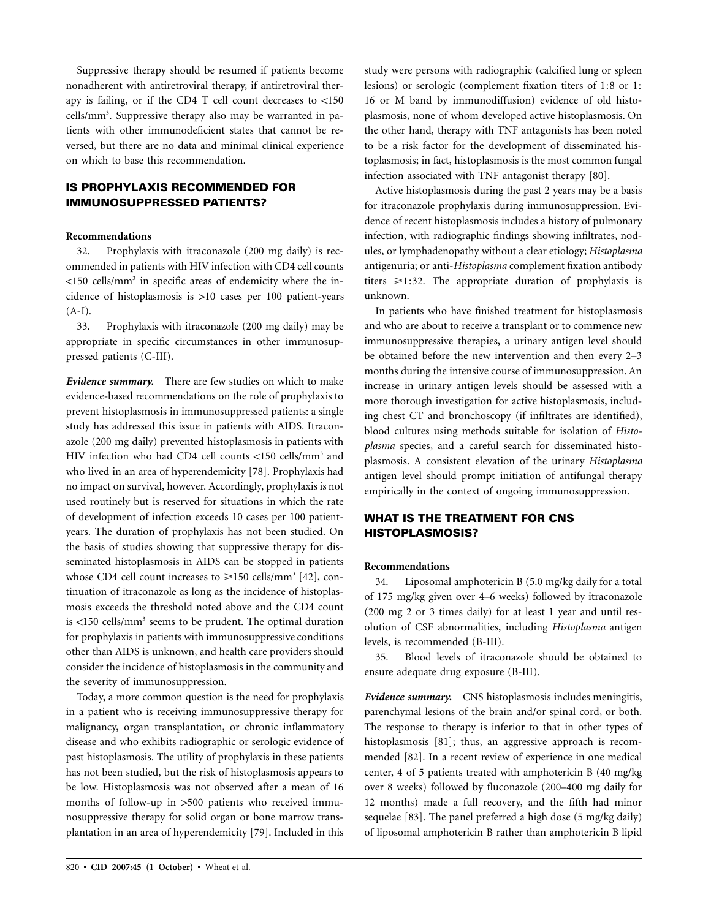Suppressive therapy should be resumed if patients become nonadherent with antiretroviral therapy, if antiretroviral therapy is failing, or if the CD4 T cell count decreases to  $<150$ cells/mm<sup>3</sup>. Suppressive therapy also may be warranted in patients with other immunodeficient states that cannot be reversed, but there are no data and minimal clinical experience on which to base this recommendation.

# **IS PROPHYLAXIS RECOMMENDED FOR IMMUNOSUPPRESSED PATIENTS?**

## **Recommendations**

32. Prophylaxis with itraconazole (200 mg daily) is recommended in patients with HIV infection with CD4 cell counts  $\langle$ 150 cells/mm<sup>3</sup> in specific areas of endemicity where the incidence of histoplasmosis is  $>10$  cases per 100 patient-years  $(A-I).$ 

33. Prophylaxis with itraconazole (200 mg daily) may be appropriate in specific circumstances in other immunosuppressed patients (C-III).

*Evidence summary.* There are few studies on which to make evidence-based recommendations on the role of prophylaxis to prevent histoplasmosis in immunosuppressed patients: a single study has addressed this issue in patients with AIDS. Itraconazole (200 mg daily) prevented histoplasmosis in patients with HIV infection who had CD4 cell counts <150 cells/mm<sup>3</sup> and who lived in an area of hyperendemicity [78]. Prophylaxis had no impact on survival, however. Accordingly, prophylaxis is not used routinely but is reserved for situations in which the rate of development of infection exceeds 10 cases per 100 patientyears. The duration of prophylaxis has not been studied. On the basis of studies showing that suppressive therapy for disseminated histoplasmosis in AIDS can be stopped in patients whose CD4 cell count increases to  $\geq 150$  cells/mm<sup>3</sup> [42], continuation of itraconazole as long as the incidence of histoplasmosis exceeds the threshold noted above and the CD4 count is  $\langle 150 \text{ cells/mm}^3$  seems to be prudent. The optimal duration for prophylaxis in patients with immunosuppressive conditions other than AIDS is unknown, and health care providers should consider the incidence of histoplasmosis in the community and the severity of immunosuppression.

Today, a more common question is the need for prophylaxis in a patient who is receiving immunosuppressive therapy for malignancy, organ transplantation, or chronic inflammatory disease and who exhibits radiographic or serologic evidence of past histoplasmosis. The utility of prophylaxis in these patients has not been studied, but the risk of histoplasmosis appears to be low. Histoplasmosis was not observed after a mean of 16 months of follow-up in >500 patients who received immunosuppressive therapy for solid organ or bone marrow transplantation in an area of hyperendemicity [79]. Included in this study were persons with radiographic (calcified lung or spleen lesions) or serologic (complement fixation titers of 1:8 or 1: 16 or M band by immunodiffusion) evidence of old histoplasmosis, none of whom developed active histoplasmosis. On the other hand, therapy with TNF antagonists has been noted to be a risk factor for the development of disseminated histoplasmosis; in fact, histoplasmosis is the most common fungal infection associated with TNF antagonist therapy [80].

Active histoplasmosis during the past 2 years may be a basis for itraconazole prophylaxis during immunosuppression. Evidence of recent histoplasmosis includes a history of pulmonary infection, with radiographic findings showing infiltrates, nodules, or lymphadenopathy without a clear etiology; *Histoplasma* antigenuria; or anti-*Histoplasma* complement fixation antibody titers  $\geq 1:32$ . The appropriate duration of prophylaxis is unknown.

In patients who have finished treatment for histoplasmosis and who are about to receive a transplant or to commence new immunosuppressive therapies, a urinary antigen level should be obtained before the new intervention and then every 2–3 months during the intensive course of immunosuppression. An increase in urinary antigen levels should be assessed with a more thorough investigation for active histoplasmosis, including chest CT and bronchoscopy (if infiltrates are identified), blood cultures using methods suitable for isolation of *Histoplasma* species, and a careful search for disseminated histoplasmosis. A consistent elevation of the urinary *Histoplasma* antigen level should prompt initiation of antifungal therapy empirically in the context of ongoing immunosuppression.

# **WHAT IS THE TREATMENT FOR CNS HISTOPLASMOSIS?**

#### **Recommendations**

34. Liposomal amphotericin B (5.0 mg/kg daily for a total of 175 mg/kg given over 4–6 weeks) followed by itraconazole (200 mg 2 or 3 times daily) for at least 1 year and until resolution of CSF abnormalities, including *Histoplasma* antigen levels, is recommended (B-III).

35. Blood levels of itraconazole should be obtained to ensure adequate drug exposure (B-III).

*Evidence summary.* CNS histoplasmosis includes meningitis, parenchymal lesions of the brain and/or spinal cord, or both. The response to therapy is inferior to that in other types of histoplasmosis [81]; thus, an aggressive approach is recommended [82]. In a recent review of experience in one medical center, 4 of 5 patients treated with amphotericin B (40 mg/kg over 8 weeks) followed by fluconazole (200–400 mg daily for 12 months) made a full recovery, and the fifth had minor sequelae [83]. The panel preferred a high dose (5 mg/kg daily) of liposomal amphotericin B rather than amphotericin B lipid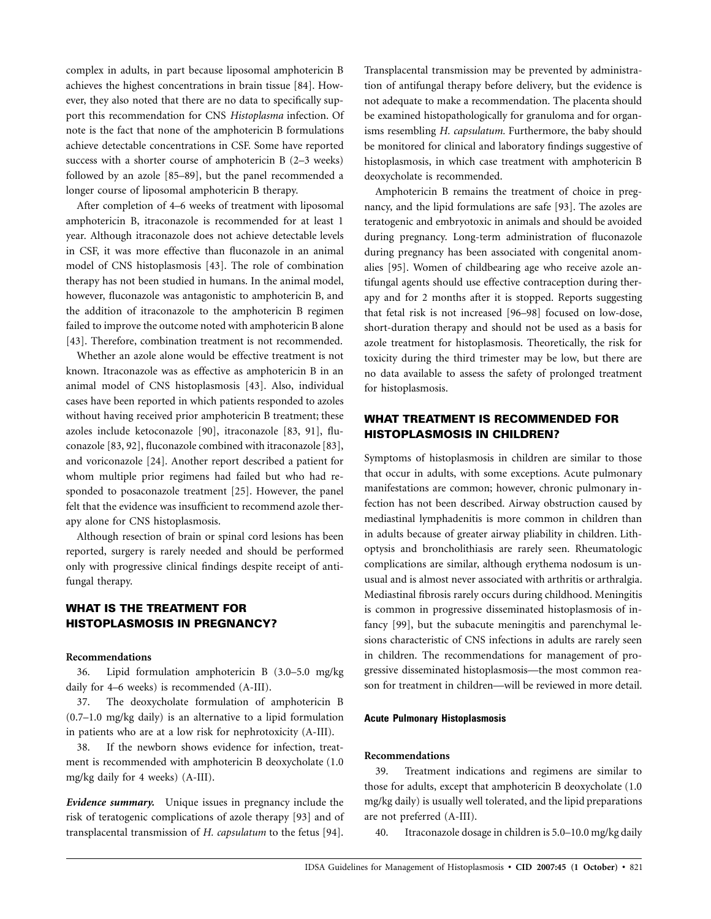complex in adults, in part because liposomal amphotericin B achieves the highest concentrations in brain tissue [84]. However, they also noted that there are no data to specifically support this recommendation for CNS *Histoplasma* infection. Of note is the fact that none of the amphotericin B formulations achieve detectable concentrations in CSF. Some have reported success with a shorter course of amphotericin B (2–3 weeks) followed by an azole [85–89], but the panel recommended a longer course of liposomal amphotericin B therapy.

After completion of 4–6 weeks of treatment with liposomal amphotericin B, itraconazole is recommended for at least 1 year. Although itraconazole does not achieve detectable levels in CSF, it was more effective than fluconazole in an animal model of CNS histoplasmosis [43]. The role of combination therapy has not been studied in humans. In the animal model, however, fluconazole was antagonistic to amphotericin B, and the addition of itraconazole to the amphotericin B regimen failed to improve the outcome noted with amphotericin B alone [43]. Therefore, combination treatment is not recommended.

Whether an azole alone would be effective treatment is not known. Itraconazole was as effective as amphotericin B in an animal model of CNS histoplasmosis [43]. Also, individual cases have been reported in which patients responded to azoles without having received prior amphotericin B treatment; these azoles include ketoconazole [90], itraconazole [83, 91], fluconazole [83, 92], fluconazole combined with itraconazole [83], and voriconazole [24]. Another report described a patient for whom multiple prior regimens had failed but who had responded to posaconazole treatment [25]. However, the panel felt that the evidence was insufficient to recommend azole therapy alone for CNS histoplasmosis.

Although resection of brain or spinal cord lesions has been reported, surgery is rarely needed and should be performed only with progressive clinical findings despite receipt of antifungal therapy.

# **WHAT IS THE TREATMENT FOR HISTOPLASMOSIS IN PREGNANCY?**

## **Recommendations**

36. Lipid formulation amphotericin B (3.0–5.0 mg/kg daily for 4–6 weeks) is recommended (A-III).

37. The deoxycholate formulation of amphotericin B (0.7–1.0 mg/kg daily) is an alternative to a lipid formulation in patients who are at a low risk for nephrotoxicity (A-III).

38. If the newborn shows evidence for infection, treatment is recommended with amphotericin B deoxycholate (1.0 mg/kg daily for 4 weeks) (A-III).

*Evidence summary.* Unique issues in pregnancy include the risk of teratogenic complications of azole therapy [93] and of transplacental transmission of *H. capsulatum* to the fetus [94].

Transplacental transmission may be prevented by administration of antifungal therapy before delivery, but the evidence is not adequate to make a recommendation. The placenta should be examined histopathologically for granuloma and for organisms resembling *H. capsulatum.* Furthermore, the baby should be monitored for clinical and laboratory findings suggestive of histoplasmosis, in which case treatment with amphotericin B deoxycholate is recommended.

Amphotericin B remains the treatment of choice in pregnancy, and the lipid formulations are safe [93]. The azoles are teratogenic and embryotoxic in animals and should be avoided during pregnancy. Long-term administration of fluconazole during pregnancy has been associated with congenital anomalies [95]. Women of childbearing age who receive azole antifungal agents should use effective contraception during therapy and for 2 months after it is stopped. Reports suggesting that fetal risk is not increased [96–98] focused on low-dose, short-duration therapy and should not be used as a basis for azole treatment for histoplasmosis. Theoretically, the risk for toxicity during the third trimester may be low, but there are no data available to assess the safety of prolonged treatment for histoplasmosis.

# **WHAT TREATMENT IS RECOMMENDED FOR HISTOPLASMOSIS IN CHILDREN?**

Symptoms of histoplasmosis in children are similar to those that occur in adults, with some exceptions. Acute pulmonary manifestations are common; however, chronic pulmonary infection has not been described. Airway obstruction caused by mediastinal lymphadenitis is more common in children than in adults because of greater airway pliability in children. Lithoptysis and broncholithiasis are rarely seen. Rheumatologic complications are similar, although erythema nodosum is unusual and is almost never associated with arthritis or arthralgia. Mediastinal fibrosis rarely occurs during childhood. Meningitis is common in progressive disseminated histoplasmosis of infancy [99], but the subacute meningitis and parenchymal lesions characteristic of CNS infections in adults are rarely seen in children. The recommendations for management of progressive disseminated histoplasmosis—the most common reason for treatment in children—will be reviewed in more detail.

#### **Acute Pulmonary Histoplasmosis**

#### **Recommendations**

39. Treatment indications and regimens are similar to those for adults, except that amphotericin B deoxycholate (1.0 mg/kg daily) is usually well tolerated, and the lipid preparations are not preferred (A-III).

40. Itraconazole dosage in children is 5.0–10.0 mg/kg daily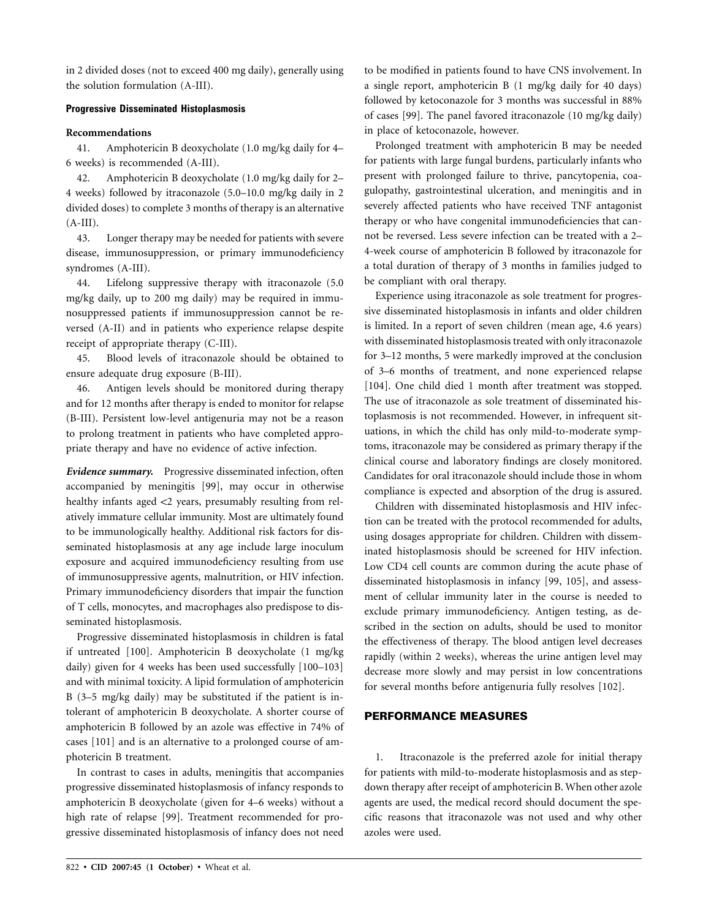in 2 divided doses (not to exceed 400 mg daily), generally using the solution formulation (A-III).

## **Progressive Disseminated Histoplasmosis**

## **Recommendations**

41. Amphotericin B deoxycholate (1.0 mg/kg daily for 4– 6 weeks) is recommended (A-III).

42. Amphotericin B deoxycholate (1.0 mg/kg daily for 2– 4 weeks) followed by itraconazole (5.0–10.0 mg/kg daily in 2 divided doses) to complete 3 months of therapy is an alternative  $(A-III).$ 

43. Longer therapy may be needed for patients with severe disease, immunosuppression, or primary immunodeficiency syndromes (A-III).

44. Lifelong suppressive therapy with itraconazole (5.0 mg/kg daily, up to 200 mg daily) may be required in immunosuppressed patients if immunosuppression cannot be reversed (A-II) and in patients who experience relapse despite receipt of appropriate therapy (C-III).

45. Blood levels of itraconazole should be obtained to ensure adequate drug exposure (B-III).

46. Antigen levels should be monitored during therapy and for 12 months after therapy is ended to monitor for relapse (B-III). Persistent low-level antigenuria may not be a reason to prolong treatment in patients who have completed appropriate therapy and have no evidence of active infection.

*Evidence summary.* Progressive disseminated infection, often accompanied by meningitis [99], may occur in otherwise healthy infants aged  $<$ 2 years, presumably resulting from relatively immature cellular immunity. Most are ultimately found to be immunologically healthy. Additional risk factors for disseminated histoplasmosis at any age include large inoculum exposure and acquired immunodeficiency resulting from use of immunosuppressive agents, malnutrition, or HIV infection. Primary immunodeficiency disorders that impair the function of T cells, monocytes, and macrophages also predispose to disseminated histoplasmosis.

Progressive disseminated histoplasmosis in children is fatal if untreated [100]. Amphotericin B deoxycholate (1 mg/kg daily) given for 4 weeks has been used successfully [100–103] and with minimal toxicity. A lipid formulation of amphotericin B (3–5 mg/kg daily) may be substituted if the patient is intolerant of amphotericin B deoxycholate. A shorter course of amphotericin B followed by an azole was effective in 74% of cases [101] and is an alternative to a prolonged course of amphotericin B treatment.

In contrast to cases in adults, meningitis that accompanies progressive disseminated histoplasmosis of infancy responds to amphotericin B deoxycholate (given for 4–6 weeks) without a high rate of relapse [99]. Treatment recommended for progressive disseminated histoplasmosis of infancy does not need

to be modified in patients found to have CNS involvement. In a single report, amphotericin B (1 mg/kg daily for 40 days) followed by ketoconazole for 3 months was successful in 88% of cases [99]. The panel favored itraconazole (10 mg/kg daily) in place of ketoconazole, however.

Prolonged treatment with amphotericin B may be needed for patients with large fungal burdens, particularly infants who present with prolonged failure to thrive, pancytopenia, coagulopathy, gastrointestinal ulceration, and meningitis and in severely affected patients who have received TNF antagonist therapy or who have congenital immunodeficiencies that cannot be reversed. Less severe infection can be treated with a 2– 4-week course of amphotericin B followed by itraconazole for a total duration of therapy of 3 months in families judged to be compliant with oral therapy.

Experience using itraconazole as sole treatment for progressive disseminated histoplasmosis in infants and older children is limited. In a report of seven children (mean age, 4.6 years) with disseminated histoplasmosis treated with only itraconazole for 3–12 months, 5 were markedly improved at the conclusion of 3–6 months of treatment, and none experienced relapse [104]. One child died 1 month after treatment was stopped. The use of itraconazole as sole treatment of disseminated histoplasmosis is not recommended. However, in infrequent situations, in which the child has only mild-to-moderate symptoms, itraconazole may be considered as primary therapy if the clinical course and laboratory findings are closely monitored. Candidates for oral itraconazole should include those in whom compliance is expected and absorption of the drug is assured.

Children with disseminated histoplasmosis and HIV infection can be treated with the protocol recommended for adults, using dosages appropriate for children. Children with disseminated histoplasmosis should be screened for HIV infection. Low CD4 cell counts are common during the acute phase of disseminated histoplasmosis in infancy [99, 105], and assessment of cellular immunity later in the course is needed to exclude primary immunodeficiency. Antigen testing, as described in the section on adults, should be used to monitor the effectiveness of therapy. The blood antigen level decreases rapidly (within 2 weeks), whereas the urine antigen level may decrease more slowly and may persist in low concentrations for several months before antigenuria fully resolves [102].

# **PERFORMANCE MEASURES**

1. Itraconazole is the preferred azole for initial therapy for patients with mild-to-moderate histoplasmosis and as stepdown therapy after receipt of amphotericin B. When other azole agents are used, the medical record should document the specific reasons that itraconazole was not used and why other azoles were used.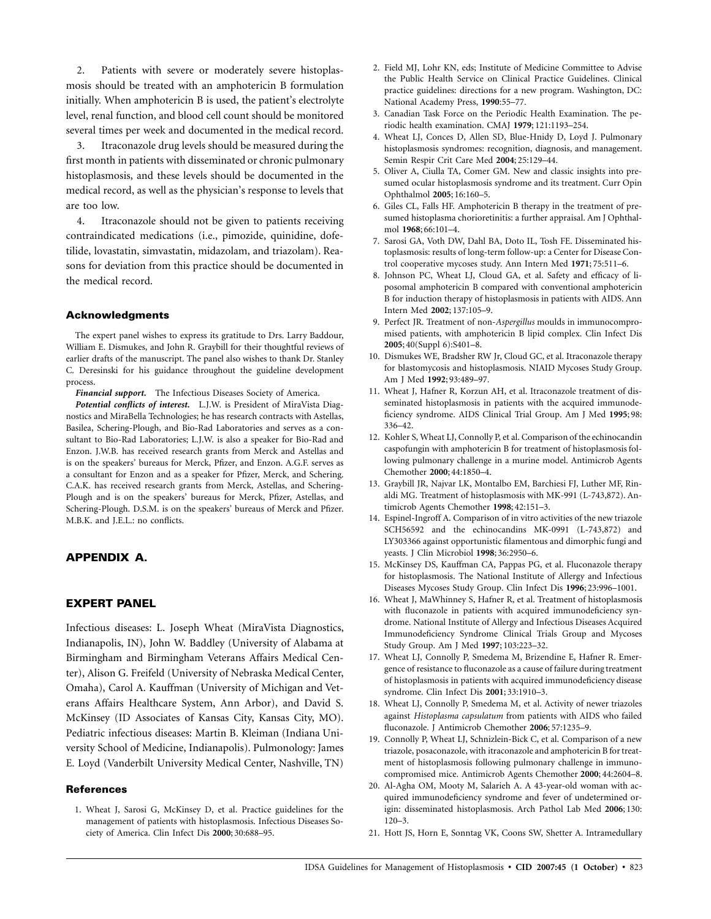2. Patients with severe or moderately severe histoplasmosis should be treated with an amphotericin B formulation initially. When amphotericin B is used, the patient's electrolyte level, renal function, and blood cell count should be monitored several times per week and documented in the medical record.

3. Itraconazole drug levels should be measured during the first month in patients with disseminated or chronic pulmonary histoplasmosis, and these levels should be documented in the medical record, as well as the physician's response to levels that are too low.

4. Itraconazole should not be given to patients receiving contraindicated medications (i.e., pimozide, quinidine, dofetilide, lovastatin, simvastatin, midazolam, and triazolam). Reasons for deviation from this practice should be documented in the medical record.

#### **Acknowledgments**

The expert panel wishes to express its gratitude to Drs. Larry Baddour, William E. Dismukes, and John R. Graybill for their thoughtful reviews of earlier drafts of the manuscript. The panel also wishes to thank Dr. Stanley C. Deresinski for his guidance throughout the guideline development process.

*Financial support.* The Infectious Diseases Society of America.

*Potential conflicts of interest.* L.J.W. is President of MiraVista Diagnostics and MiraBella Technologies; he has research contracts with Astellas, Basilea, Schering-Plough, and Bio-Rad Laboratories and serves as a consultant to Bio-Rad Laboratories; L.J.W. is also a speaker for Bio-Rad and Enzon. J.W.B. has received research grants from Merck and Astellas and is on the speakers' bureaus for Merck, Pfizer, and Enzon. A.G.F. serves as a consultant for Enzon and as a speaker for Pfizer, Merck, and Schering. C.A.K. has received research grants from Merck, Astellas, and Schering-Plough and is on the speakers' bureaus for Merck, Pfizer, Astellas, and Schering-Plough. D.S.M. is on the speakers' bureaus of Merck and Pfizer. M.B.K. and J.E.L.: no conflicts.

## **APPENDIX A.**

## **EXPERT PANEL**

Infectious diseases: L. Joseph Wheat (MiraVista Diagnostics, Indianapolis, IN), John W. Baddley (University of Alabama at Birmingham and Birmingham Veterans Affairs Medical Center), Alison G. Freifeld (University of Nebraska Medical Center, Omaha), Carol A. Kauffman (University of Michigan and Veterans Affairs Healthcare System, Ann Arbor), and David S. McKinsey (ID Associates of Kansas City, Kansas City, MO). Pediatric infectious diseases: Martin B. Kleiman (Indiana University School of Medicine, Indianapolis). Pulmonology: James E. Loyd (Vanderbilt University Medical Center, Nashville, TN)

#### **References**

1. Wheat J, Sarosi G, McKinsey D, et al. Practice guidelines for the management of patients with histoplasmosis. Infectious Diseases Society of America. Clin Infect Dis **2000**; 30:688–95.

- 2. Field MJ, Lohr KN, eds; Institute of Medicine Committee to Advise the Public Health Service on Clinical Practice Guidelines. Clinical practice guidelines: directions for a new program. Washington, DC: National Academy Press, **1990**:55–77.
- 3. Canadian Task Force on the Periodic Health Examination. The periodic health examination. CMAJ **1979**; 121:1193–254.
- 4. Wheat LJ, Conces D, Allen SD, Blue-Hnidy D, Loyd J. Pulmonary histoplasmosis syndromes: recognition, diagnosis, and management. Semin Respir Crit Care Med **2004**; 25:129–44.
- 5. Oliver A, Ciulla TA, Comer GM. New and classic insights into presumed ocular histoplasmosis syndrome and its treatment. Curr Opin Ophthalmol **2005**; 16:160–5.
- 6. Giles CL, Falls HF. Amphotericin B therapy in the treatment of presumed histoplasma chorioretinitis: a further appraisal. Am J Ophthalmol **1968**; 66:101–4.
- 7. Sarosi GA, Voth DW, Dahl BA, Doto IL, Tosh FE. Disseminated histoplasmosis: results of long-term follow-up: a Center for Disease Control cooperative mycoses study. Ann Intern Med **1971**; 75:511–6.
- 8. Johnson PC, Wheat LJ, Cloud GA, et al. Safety and efficacy of liposomal amphotericin B compared with conventional amphotericin B for induction therapy of histoplasmosis in patients with AIDS. Ann Intern Med **2002**; 137:105–9.
- 9. Perfect JR. Treatment of non-*Aspergillus* moulds in immunocompromised patients, with amphotericin B lipid complex. Clin Infect Dis **2005**; 40(Suppl 6):S401–8.
- 10. Dismukes WE, Bradsher RW Jr, Cloud GC, et al. Itraconazole therapy for blastomycosis and histoplasmosis. NIAID Mycoses Study Group. Am J Med **1992**; 93:489–97.
- 11. Wheat J, Hafner R, Korzun AH, et al. Itraconazole treatment of disseminated histoplasmosis in patients with the acquired immunodeficiency syndrome. AIDS Clinical Trial Group. Am J Med **1995**; 98: 336–42.
- 12. Kohler S, Wheat LJ, Connolly P, et al. Comparison of the echinocandin caspofungin with amphotericin B for treatment of histoplasmosis following pulmonary challenge in a murine model. Antimicrob Agents Chemother **2000**; 44:1850–4.
- 13. Graybill JR, Najvar LK, Montalbo EM, Barchiesi FJ, Luther MF, Rinaldi MG. Treatment of histoplasmosis with MK-991 (L-743,872). Antimicrob Agents Chemother **1998**; 42:151–3.
- 14. Espinel-Ingroff A. Comparison of in vitro activities of the new triazole SCH56592 and the echinocandins MK-0991 (L-743,872) and LY303366 against opportunistic filamentous and dimorphic fungi and yeasts. J Clin Microbiol **1998**; 36:2950–6.
- 15. McKinsey DS, Kauffman CA, Pappas PG, et al. Fluconazole therapy for histoplasmosis. The National Institute of Allergy and Infectious Diseases Mycoses Study Group. Clin Infect Dis **1996**; 23:996–1001.
- 16. Wheat J, MaWhinney S, Hafner R, et al. Treatment of histoplasmosis with fluconazole in patients with acquired immunodeficiency syndrome. National Institute of Allergy and Infectious Diseases Acquired Immunodeficiency Syndrome Clinical Trials Group and Mycoses Study Group. Am J Med **1997**; 103:223–32.
- 17. Wheat LJ, Connolly P, Smedema M, Brizendine E, Hafner R. Emergence of resistance to fluconazole as a cause of failure during treatment of histoplasmosis in patients with acquired immunodeficiency disease syndrome. Clin Infect Dis **2001**; 33:1910–3.
- 18. Wheat LJ, Connolly P, Smedema M, et al. Activity of newer triazoles against *Histoplasma capsulatum* from patients with AIDS who failed fluconazole. J Antimicrob Chemother **2006**; 57:1235–9.
- 19. Connolly P, Wheat LJ, Schnizlein-Bick C, et al. Comparison of a new triazole, posaconazole, with itraconazole and amphotericin B for treatment of histoplasmosis following pulmonary challenge in immunocompromised mice. Antimicrob Agents Chemother **2000**; 44:2604–8.
- 20. Al-Agha OM, Mooty M, Salarieh A. A 43-year-old woman with acquired immunodeficiency syndrome and fever of undetermined origin: disseminated histoplasmosis. Arch Pathol Lab Med **2006**; 130: 120–3.
- 21. Hott JS, Horn E, Sonntag VK, Coons SW, Shetter A. Intramedullary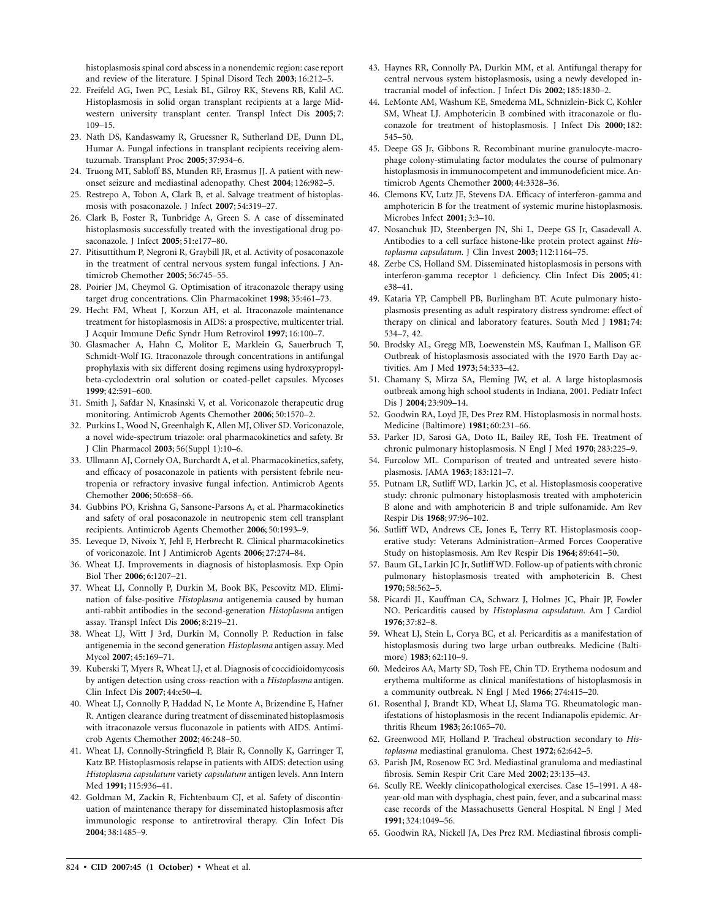histoplasmosis spinal cord abscess in a nonendemic region: case report and review of the literature. J Spinal Disord Tech **2003**; 16:212–5.

- 22. Freifeld AG, Iwen PC, Lesiak BL, Gilroy RK, Stevens RB, Kalil AC. Histoplasmosis in solid organ transplant recipients at a large Midwestern university transplant center. Transpl Infect Dis **2005**; 7: 109–15.
- 23. Nath DS, Kandaswamy R, Gruessner R, Sutherland DE, Dunn DL, Humar A. Fungal infections in transplant recipients receiving alemtuzumab. Transplant Proc **2005**; 37:934–6.
- 24. Truong MT, Sabloff BS, Munden RF, Erasmus JJ. A patient with newonset seizure and mediastinal adenopathy. Chest **2004**; 126:982–5.
- 25. Restrepo A, Tobon A, Clark B, et al. Salvage treatment of histoplasmosis with posaconazole. J Infect **2007**; 54:319–27.
- 26. Clark B, Foster R, Tunbridge A, Green S. A case of disseminated histoplasmosis successfully treated with the investigational drug posaconazole. J Infect **2005**; 51:e177–80.
- 27. Pitisuttithum P, Negroni R, Graybill JR, et al. Activity of posaconazole in the treatment of central nervous system fungal infections. J Antimicrob Chemother **2005**; 56:745–55.
- 28. Poirier JM, Cheymol G. Optimisation of itraconazole therapy using target drug concentrations. Clin Pharmacokinet **1998**; 35:461–73.
- 29. Hecht FM, Wheat J, Korzun AH, et al. Itraconazole maintenance treatment for histoplasmosis in AIDS: a prospective, multicenter trial. J Acquir Immune Defic Syndr Hum Retrovirol **1997**; 16:100–7.
- 30. Glasmacher A, Hahn C, Molitor E, Marklein G, Sauerbruch T, Schmidt-Wolf IG. Itraconazole through concentrations in antifungal prophylaxis with six different dosing regimens using hydroxypropylbeta-cyclodextrin oral solution or coated-pellet capsules. Mycoses **1999**; 42:591–600.
- 31. Smith J, Safdar N, Knasinski V, et al. Voriconazole therapeutic drug monitoring. Antimicrob Agents Chemother **2006**; 50:1570–2.
- 32. Purkins L, Wood N, Greenhalgh K, Allen MJ, Oliver SD. Voriconazole, a novel wide-spectrum triazole: oral pharmacokinetics and safety. Br J Clin Pharmacol **2003**; 56(Suppl 1):10–6.
- 33. Ullmann AJ, Cornely OA, Burchardt A, et al. Pharmacokinetics, safety, and efficacy of posaconazole in patients with persistent febrile neutropenia or refractory invasive fungal infection. Antimicrob Agents Chemother **2006**; 50:658–66.
- 34. Gubbins PO, Krishna G, Sansone-Parsons A, et al. Pharmacokinetics and safety of oral posaconazole in neutropenic stem cell transplant recipients. Antimicrob Agents Chemother **2006**; 50:1993–9.
- 35. Leveque D, Nivoix Y, Jehl F, Herbrecht R. Clinical pharmacokinetics of voriconazole. Int J Antimicrob Agents **2006**; 27:274–84.
- 36. Wheat LJ. Improvements in diagnosis of histoplasmosis. Exp Opin Biol Ther **2006**; 6:1207–21.
- 37. Wheat LJ, Connolly P, Durkin M, Book BK, Pescovitz MD. Elimination of false-positive *Histoplasma* antigenemia caused by human anti-rabbit antibodies in the second-generation *Histoplasma* antigen assay. Transpl Infect Dis **2006**; 8:219–21.
- 38. Wheat LJ, Witt J 3rd, Durkin M, Connolly P. Reduction in false antigenemia in the second generation *Histoplasma* antigen assay. Med Mycol **2007**; 45:169–71.
- 39. Kuberski T, Myers R, Wheat LJ, et al. Diagnosis of coccidioidomycosis by antigen detection using cross-reaction with a *Histoplasma* antigen. Clin Infect Dis **2007**; 44:e50–4.
- 40. Wheat LJ, Connolly P, Haddad N, Le Monte A, Brizendine E, Hafner R. Antigen clearance during treatment of disseminated histoplasmosis with itraconazole versus fluconazole in patients with AIDS. Antimicrob Agents Chemother **2002**; 46:248–50.
- 41. Wheat LJ, Connolly-Stringfield P, Blair R, Connolly K, Garringer T, Katz BP. Histoplasmosis relapse in patients with AIDS: detection using *Histoplasma capsulatum* variety *capsulatum* antigen levels. Ann Intern Med **1991**; 115:936–41.
- 42. Goldman M, Zackin R, Fichtenbaum CJ, et al. Safety of discontinuation of maintenance therapy for disseminated histoplasmosis after immunologic response to antiretroviral therapy. Clin Infect Dis **2004**; 38:1485–9.
- 43. Haynes RR, Connolly PA, Durkin MM, et al. Antifungal therapy for central nervous system histoplasmosis, using a newly developed intracranial model of infection. J Infect Dis **2002**; 185:1830–2.
- 44. LeMonte AM, Washum KE, Smedema ML, Schnizlein-Bick C, Kohler SM, Wheat LJ. Amphotericin B combined with itraconazole or fluconazole for treatment of histoplasmosis. J Infect Dis **2000**; 182: 545–50.
- 45. Deepe GS Jr, Gibbons R. Recombinant murine granulocyte-macrophage colony-stimulating factor modulates the course of pulmonary histoplasmosis in immunocompetent and immunodeficient mice. Antimicrob Agents Chemother **2000**; 44:3328–36.
- 46. Clemons KV, Lutz JE, Stevens DA. Efficacy of interferon-gamma and amphotericin B for the treatment of systemic murine histoplasmosis. Microbes Infect **2001**; 3:3–10.
- 47. Nosanchuk JD, Steenbergen JN, Shi L, Deepe GS Jr, Casadevall A. Antibodies to a cell surface histone-like protein protect against *Histoplasma capsulatum.* J Clin Invest **2003**; 112:1164–75.
- 48. Zerbe CS, Holland SM. Disseminated histoplasmosis in persons with interferon-gamma receptor 1 deficiency. Clin Infect Dis **2005**; 41: e38–41.
- 49. Kataria YP, Campbell PB, Burlingham BT. Acute pulmonary histoplasmosis presenting as adult respiratory distress syndrome: effect of therapy on clinical and laboratory features. South Med J **1981**; 74: 534–7, 42.
- 50. Brodsky AL, Gregg MB, Loewenstein MS, Kaufman L, Mallison GF. Outbreak of histoplasmosis associated with the 1970 Earth Day activities. Am J Med **1973**; 54:333–42.
- 51. Chamany S, Mirza SA, Fleming JW, et al. A large histoplasmosis outbreak among high school students in Indiana, 2001. Pediatr Infect Dis J **2004**; 23:909–14.
- 52. Goodwin RA, Loyd JE, Des Prez RM. Histoplasmosis in normal hosts. Medicine (Baltimore) **1981**; 60:231–66.
- 53. Parker JD, Sarosi GA, Doto IL, Bailey RE, Tosh FE. Treatment of chronic pulmonary histoplasmosis. N Engl J Med **1970**; 283:225–9.
- 54. Furcolow ML. Comparison of treated and untreated severe histoplasmosis. JAMA **1963**; 183:121–7.
- 55. Putnam LR, Sutliff WD, Larkin JC, et al. Histoplasmosis cooperative study: chronic pulmonary histoplasmosis treated with amphotericin B alone and with amphotericin B and triple sulfonamide. Am Rev Respir Dis **1968**; 97:96–102.
- 56. Sutliff WD, Andrews CE, Jones E, Terry RT. Histoplasmosis cooperative study: Veterans Administration–Armed Forces Cooperative Study on histoplasmosis. Am Rev Respir Dis **1964**; 89:641–50.
- 57. Baum GL, Larkin JC Jr, Sutliff WD. Follow-up of patients with chronic pulmonary histoplasmosis treated with amphotericin B. Chest **1970**; 58:562–5.
- 58. Picardi JL, Kauffman CA, Schwarz J, Holmes JC, Phair JP, Fowler NO. Pericarditis caused by *Histoplasma capsulatum.* Am J Cardiol **1976**; 37:82–8.
- 59. Wheat LJ, Stein L, Corya BC, et al. Pericarditis as a manifestation of histoplasmosis during two large urban outbreaks. Medicine (Baltimore) **1983**; 62:110–9.
- 60. Medeiros AA, Marty SD, Tosh FE, Chin TD. Erythema nodosum and erythema multiforme as clinical manifestations of histoplasmosis in a community outbreak. N Engl J Med **1966**; 274:415–20.
- 61. Rosenthal J, Brandt KD, Wheat LJ, Slama TG. Rheumatologic manifestations of histoplasmosis in the recent Indianapolis epidemic. Arthritis Rheum **1983**; 26:1065–70.
- 62. Greenwood MF, Holland P. Tracheal obstruction secondary to *Histoplasma* mediastinal granuloma. Chest **1972**; 62:642–5.
- 63. Parish JM, Rosenow EC 3rd. Mediastinal granuloma and mediastinal fibrosis. Semin Respir Crit Care Med **2002**; 23:135–43.
- 64. Scully RE. Weekly clinicopathological exercises. Case 15–1991. A 48 year-old man with dysphagia, chest pain, fever, and a subcarinal mass: case records of the Massachusetts General Hospital. N Engl J Med **1991**; 324:1049–56.
- 65. Goodwin RA, Nickell JA, Des Prez RM. Mediastinal fibrosis compli-